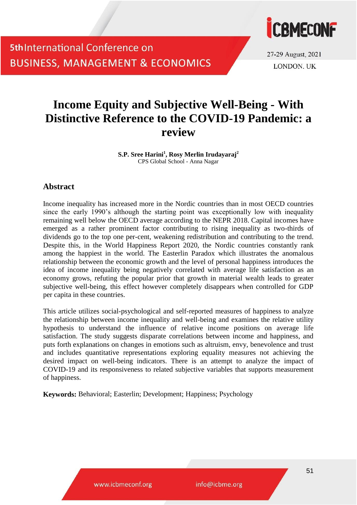

27-29 August, 2021 **LONDON UK** 

## **Income Equity and Subjective Well-Being - With Distinctive Reference to the COVID-19 Pandemic: a review**

**S.P. Sree Harini<sup>1</sup> , Rosy Merlin Irudayaraj<sup>2</sup>** CPS Global School - Anna Nagar

### **Abstract**

Income inequality has increased more in the Nordic countries than in most OECD countries since the early 1990's although the starting point was exceptionally low with inequality remaining well below the OECD average according to the NEPR 2018. Capital incomes have emerged as a rather prominent factor contributing to rising inequality as two-thirds of dividends go to the top one per-cent, weakening redistribution and contributing to the trend. Despite this, in the World Happiness Report 2020, the Nordic countries constantly rank among the happiest in the world. The Easterlin Paradox which illustrates the anomalous relationship between the economic growth and the level of personal happiness introduces the idea of income inequality being negatively correlated with average life satisfaction as an economy grows, refuting the popular prior that growth in material wealth leads to greater subjective well-being, this effect however completely disappears when controlled for GDP per capita in these countries.

This article utilizes social-psychological and self-reported measures of happiness to analyze the relationship between income inequality and well-being and examines the relative utility hypothesis to understand the influence of relative income positions on average life satisfaction. The study suggests disparate correlations between income and happiness, and puts forth explanations on changes in emotions such as altruism, envy, benevolence and trust and includes quantitative representations exploring equality measures not achieving the desired impact on well-being indicators. There is an attempt to analyze the impact of COVID-19 and its responsiveness to related subjective variables that supports measurement of happiness.

**Keywords:** Behavioral; Easterlin; Development; Happiness; Psychology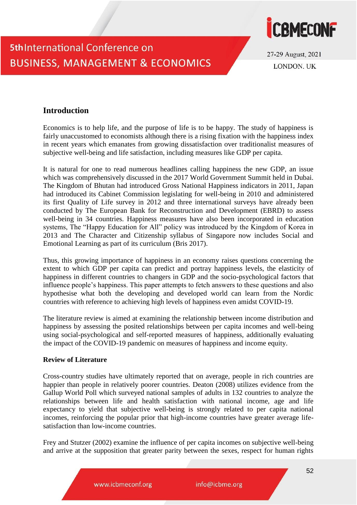

27-29 August, 2021 **LONDON UK** 

## **Introduction**

Economics is to help life, and the purpose of life is to be happy. The study of happiness is fairly unaccustomed to economists although there is a rising fixation with the happiness index in recent years which emanates from growing dissatisfaction over traditionalist measures of subjective well-being and life satisfaction, including measures like GDP per capita.

It is natural for one to read numerous headlines calling happiness the new GDP, an issue which was comprehensively discussed in the 2017 World Government Summit held in Dubai. The Kingdom of Bhutan had introduced Gross National Happiness indicators in 2011, Japan had introduced its Cabinet Commission legislating for well-being in 2010 and administered its first Quality of Life survey in 2012 and three international surveys have already been conducted by The European Bank for Reconstruction and Development (EBRD) to assess well-being in 34 countries. Happiness measures have also been incorporated in education systems, The "Happy Education for All" policy was introduced by the Kingdom of Korea in 2013 and The Character and Citizenship syllabus of Singapore now includes Social and Emotional Learning as part of its curriculum (Bris 2017).

Thus, this growing importance of happiness in an economy raises questions concerning the extent to which GDP per capita can predict and portray happiness levels, the elasticity of happiness in different countries to changers in GDP and the socio-psychological factors that influence people's happiness. This paper attempts to fetch answers to these questions and also hypothesise what both the developing and developed world can learn from the Nordic countries with reference to achieving high levels of happiness even amidst COVID-19.

The literature review is aimed at examining the relationship between income distribution and happiness by assessing the posited relationships between per capita incomes and well-being using social-psychological and self-reported measures of happiness, additionally evaluating the impact of the COVID-19 pandemic on measures of happiness and income equity.

#### **Review of Literature**

Cross-country studies have ultimately reported that on average, people in rich countries are happier than people in relatively poorer countries. Deaton (2008) utilizes evidence from the Gallup World Poll which surveyed national samples of adults in 132 countries to analyze the relationships between life and health satisfaction with national income, age and life expectancy to yield that subjective well-being is strongly related to per capita national incomes, reinforcing the popular prior that high-income countries have greater average lifesatisfaction than low-income countries.

Frey and Stutzer (2002) examine the influence of per capita incomes on subjective well-being and arrive at the supposition that greater parity between the sexes, respect for human rights

www.icbmeconf.org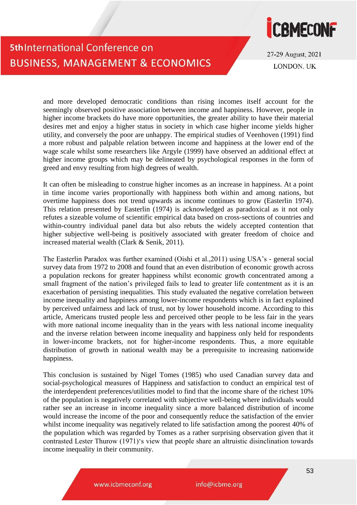

27-29 August, 2021 **LONDON UK** 

and more developed democratic conditions than rising incomes itself account for the seemingly observed positive association between income and happiness. However, people in higher income brackets do have more opportunities, the greater ability to have their material desires met and enjoy a higher status in society in which case higher income yields higher utility, and conversely the poor are unhappy. The empirical studies of Veenhoven (1991) find a more robust and palpable relation between income and happiness at the lower end of the wage scale whilst some researchers like Argyle (1999) have observed an additional effect at higher income groups which may be delineated by psychological responses in the form of greed and envy resulting from high degrees of wealth.

It can often be misleading to construe higher incomes as an increase in happiness. At a point in time income varies proportionally with happiness both within and among nations, but overtime happiness does not trend upwards as income continues to grow (Easterlin 1974). This relation presented by Easterlin (1974) is acknowledged as paradoxical as it not only refutes a sizeable volume of scientific empirical data based on cross-sections of countries and within-country individual panel data but also rebuts the widely accepted contention that higher subjective well-being is positively associated with greater freedom of choice and increased material wealth (Clark & Senik, 2011).

The Easterlin Paradox was further examined (Oishi et al.,2011) using USA's - general social survey data from 1972 to 2008 and found that an even distribution of economic growth across a population reckons for greater happiness whilst economic growth concentrated among a small fragment of the nation's privileged fails to lead to greater life contentment as it is an exacerbation of persisting inequalities. This study evaluated the negative correlation between income inequality and happiness among lower-income respondents which is in fact explained by perceived unfairness and lack of trust, not by lower household income. According to this article, Americans trusted people less and perceived other people to be less fair in the years with more national income inequality than in the years with less national income inequality and the inverse relation between income inequality and happiness only held for respondents in lower-income brackets, not for higher-income respondents. Thus, a more equitable distribution of growth in national wealth may be a prerequisite to increasing nationwide happiness.

This conclusion is sustained by Nigel Tomes (1985) who used Canadian survey data and social-psychological measures of Happiness and satisfaction to conduct an empirical test of the interdependent preferences/utilities model to find that the income share of the richest 10% of the population is negatively correlated with subjective well-being where individuals would rather see an increase in income inequality since a more balanced distribution of income would increase the income of the poor and consequently reduce the satisfaction of the envier whilst income inequality was negatively related to life satisfaction among the poorest 40% of the population which was regarded by Tomes as a rather surprising observation given that it contrasted Lester Thurow (1971)'s view that people share an altruistic disinclination towards income inequality in their community.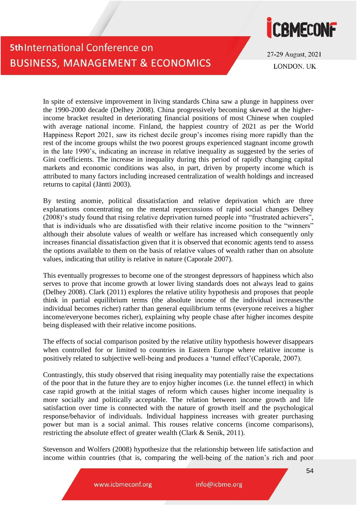

27-29 August, 2021 **LONDON UK** 

In spite of extensive improvement in living standards China saw a plunge in happiness over the 1990-2000 decade (Delhey 2008). China progressively becoming skewed at the higherincome bracket resulted in deteriorating financial positions of most Chinese when coupled with average national income. Finland, the happiest country of 2021 as per the World Happiness Report 2021, saw its richest decile group's incomes rising more rapidly than the rest of the income groups whilst the two poorest groups experienced stagnant income growth in the late 1990's, indicating an increase in relative inequality as suggested by the series of Gini coefficients. The increase in inequality during this period of rapidly changing capital markets and economic conditions was also, in part, driven by property income which is attributed to many factors including increased centralization of wealth holdings and increased returns to capital (Jäntti 2003).

By testing anomie, political dissatisfaction and relative deprivation which are three explanations concentrating on the mental repercussions of rapid social changes Delhey (2008)'s study found that rising relative deprivation turned people into "frustrated achievers", that is individuals who are dissatisfied with their relative income position to the "winners" although their absolute values of wealth or welfare has increased which consequently only increases financial dissatisfaction given that it is observed that economic agents tend to assess the options available to them on the basis of relative values of wealth rather than on absolute values, indicating that utility is relative in nature (Caporale 2007).

This eventually progresses to become one of the strongest depressors of happiness which also serves to prove that income growth at lower living standards does not always lead to gains (Delhey 2008). Clark (2011) explores the relative utility hypothesis and proposes that people think in partial equilibrium terms (the absolute income of the individual increases/the individual becomes richer) rather than general equilibrium terms (everyone receives a higher income/everyone becomes richer), explaining why people chase after higher incomes despite being displeased with their relative income positions.

The effects of social comparison posited by the relative utility hypothesis however disappears when controlled for or limited to countries in Eastern Europe where relative income is positively related to subjective well-being and produces a 'tunnel effect'(Caporale, 2007).

Contrastingly, this study observed that rising inequality may potentially raise the expectations of the poor that in the future they are to enjoy higher incomes (i.e. the tunnel effect) in which case rapid growth at the initial stages of reform which causes higher income inequality is more socially and politically acceptable. The relation between income growth and life satisfaction over time is connected with the nature of growth itself and the psychological response/behavior of individuals. Individual happiness increases with greater purchasing power but man is a social animal. This rouses relative concerns (income comparisons), restricting the absolute effect of greater wealth (Clark & Senik, 2011).

Stevenson and Wolfers (2008) hypothesize that the relationship between life satisfaction and income within countries (that is, comparing the well-being of the nation's rich and poor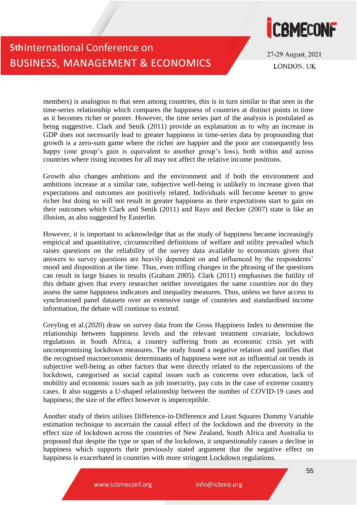

27-29 August, 2021 **LONDON UK** 

members) is analogous to that seen among countries, this is in turn similar to that seen in the time-series relationship which compares the happiness of countries at distinct points in time as it becomes richer or poorer. However, the time series part of the analysis is postulated as being suggestive. Clark and Senik (2011) provide an explanation as to why an increase in GDP does not necessarily lead to greater happiness in time-series data by propounding that growth is a zero-sum game where the richer are happier and the poor are consequently less happy (one group's gain is equivalent to another group's loss), both within and across countries where rising incomes for all may not affect the relative income positions.

Growth also changes ambitions and the environment and if both the environment and ambitions increase at a similar rate, subjective well-being is unlikely to increase given that expectations and outcomes are positively related. Individuals will become keener to grow richer but doing so will not result in greater happiness as their expectations start to gain on their outcomes which Clark and Senik (2011) and Rayo and Becker (2007) state is like an illusion, as also suggested by Easterlin.

However, it is important to acknowledge that as the study of happiness became increasingly empirical and quantitative, circumscribed definitions of welfare and utility prevailed which raises questions on the reliability of the survey data available to economists given that answers to survey questions are heavily dependent on and influenced by the respondents' mood and disposition at the time. Thus, even trifling changes in the phrasing of the questions can result in large biases in results (Graham 2005). Clark (2011) emphasises the futility of this debate given that every researcher neither investigates the same countries nor do they assess the same happiness indicators and inequality measures. Thus, unless we have access to synchronised panel datasets over an extensive range of countries and standardised income information, the debate will continue to extend.

Greyling et al.(2020) draw on survey data from the Gross Happiness Index to determine the relationship between happiness levels and the relevant treatment covariate, lockdown regulations in South Africa, a country suffering from an economic crisis yet with uncompromising lockdown measures. The study found a negative relation and justifies that the recognised macroeconomic determinants of happiness were not as influential on trends in subjective well-being as other factors that were directly related to the repercussions of the lockdown, categorised as social capital issues such as concerns over education, lack of mobility and economic issues such as job insecurity, pay cuts in the case of extreme country cases. It also suggests a U-shaped relationship between the number of COVID-19 cases and happiness; the size of the effect however is imperceptible.

Another study of theirs utilises Difference-in-Difference and Least Squares Dummy Variable estimation technique to ascertain the causal effect of the lockdown and the diversity in the effect size of lockdown across the countries of New Zealand, South Africa and Australia to propound that despite the type or span of the lockdown, it unquestionably causes a decline in happiness which supports their previously stated argument that the negative effect on happiness is exacerbated in countries with more stringent Lockdown regulations.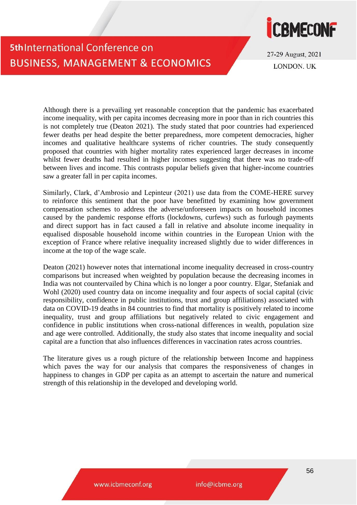

27-29 August, 2021 **LONDON UK** 

Although there is a prevailing yet reasonable conception that the pandemic has exacerbated income inequality, with per capita incomes decreasing more in poor than in rich countries this is not completely true (Deaton 2021). The study stated that poor countries had experienced fewer deaths per head despite the better preparedness, more competent democracies, higher incomes and qualitative healthcare systems of richer countries. The study consequently proposed that countries with higher mortality rates experienced larger decreases in income whilst fewer deaths had resulted in higher incomes suggesting that there was no trade-off between lives and income. This contrasts popular beliefs given that higher-income countries saw a greater fall in per capita incomes.

Similarly, Clark, d'Ambrosio and Lepinteur (2021) use data from the COME-HERE survey to reinforce this sentiment that the poor have benefitted by examining how government compensation schemes to address the adverse/unforeseen impacts on household incomes caused by the pandemic response efforts (lockdowns, curfews) such as furlough payments and direct support has in fact caused a fall in relative and absolute income inequality in equalised disposable household income within countries in the European Union with the exception of France where relative inequality increased slightly due to wider differences in income at the top of the wage scale.

Deaton (2021) however notes that international income inequality decreased in cross-country comparisons but increased when weighted by population because the decreasing incomes in India was not countervailed by China which is no longer a poor country. Elgar, Stefaniak and Wohl (2020) used country data on income inequality and four aspects of social capital (civic responsibility, confidence in public institutions, trust and group affiliations) associated with data on COVID-19 deaths in 84 countries to find that mortality is positively related to income inequality, trust and group affiliations but negatively related to civic engagement and confidence in public institutions when cross-national differences in wealth, population size and age were controlled. Additionally, the study also states that income inequality and social capital are a function that also influences differences in vaccination rates across countries.

The literature gives us a rough picture of the relationship between Income and happiness which paves the way for our analysis that compares the responsiveness of changes in happiness to changes in GDP per capita as an attempt to ascertain the nature and numerical strength of this relationship in the developed and developing world.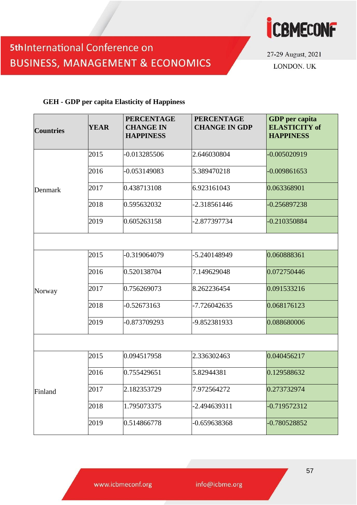

27-29 August, 2021 LONDON. UK

#### **GEH - GDP per capita Elasticity of Happiness**

| <b>Countries</b> | <b>YEAR</b> | <b>PERCENTAGE</b><br><b>CHANGE IN</b><br><b>HAPPINESS</b> | <b>PERCENTAGE</b><br><b>CHANGE IN GDP</b> | <b>GDP</b> per capita<br><b>ELASTICITY of</b><br><b>HAPPINESS</b> |  |  |  |  |
|------------------|-------------|-----------------------------------------------------------|-------------------------------------------|-------------------------------------------------------------------|--|--|--|--|
|                  | 2015        | -0.013285506                                              | 2.646030804                               | -0.005020919                                                      |  |  |  |  |
|                  | 2016        | -0.053149083                                              | 5.389470218                               | $-0.009861653$                                                    |  |  |  |  |
| Denmark          | 2017        | 0.438713108                                               | 6.923161043                               | 0.063368901                                                       |  |  |  |  |
|                  | 2018        | 0.595632032                                               | -2.318561446                              | -0.256897238                                                      |  |  |  |  |
|                  | 2019        | 0.605263158                                               | -2.877397734                              | $-0.210350884$                                                    |  |  |  |  |
|                  |             |                                                           |                                           |                                                                   |  |  |  |  |
|                  | 2015        | -0.319064079                                              | -5.240148949                              | 0.060888361                                                       |  |  |  |  |
|                  | 2016        | 0.520138704                                               | 7.149629048                               | 0.072750446                                                       |  |  |  |  |
| Norway           | 2017        | 0.756269073                                               | 8.262236454                               | 0.091533216                                                       |  |  |  |  |
|                  | 2018        | $-0.52673163$                                             | -7.726042635                              | 0.068176123                                                       |  |  |  |  |
|                  | 2019        | -0.873709293                                              | -9.852381933                              | 0.088680006                                                       |  |  |  |  |
|                  |             |                                                           |                                           |                                                                   |  |  |  |  |
|                  | 2015        | 0.094517958                                               | 2.336302463                               | 0.040456217                                                       |  |  |  |  |
|                  | 2016        | 0.755429651                                               | 5.82944381                                | 0.129588632                                                       |  |  |  |  |
| Finland          | 2017        | 2.182353729                                               | 7.972564272                               | 0.273732974                                                       |  |  |  |  |
|                  | 2018        | 1.795073375                                               | -2.494639311                              | -0.719572312                                                      |  |  |  |  |
|                  | 2019        | 0.514866778                                               | -0.659638368                              | -0.780528852                                                      |  |  |  |  |

www.icbmeconf.org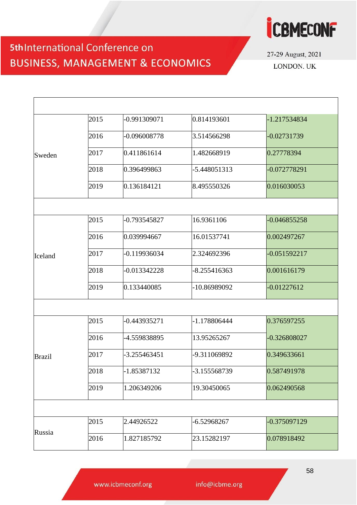

27-29 August, 2021 LONDON. UK

|               | 2015 | -0.991309071   | 0.814193601    | -1.217534834   |
|---------------|------|----------------|----------------|----------------|
|               | 2016 | -0.096008778   | 3.514566298    | -0.02731739    |
| Sweden        | 2017 | 0.411861614    | 1.482668919    | 0.27778394     |
|               | 2018 | 0.396499863    | -5.448051313   | $-0.072778291$ |
|               | 2019 | 0.136184121    | 8.495550326    | 0.016030053    |
|               |      |                |                |                |
|               | 2015 | -0.793545827   | 16.9361106     | $-0.046855258$ |
|               | 2016 | 0.039994667    | 16.01537741    | 0.002497267    |
| Iceland       | 2017 | $-0.119936034$ | 2.324692396    | -0.051592217   |
|               | 2018 | -0.013342228   | $-8.255416363$ | 0.001616179    |
|               | 2019 | 0.133440085    | -10.86989092   | $-0.01227612$  |
|               |      |                |                |                |
|               | 2015 | -0.443935271   | -1.178806444   | 0.376597255    |
|               | 2016 | -4.559838895   | 13.95265267    | -0.326808027   |
| <b>Brazil</b> | 2017 | $-3.255463451$ | -9.311069892   | 0.349633661    |
|               | 2018 | -1.85387132    | -3.155568739   | 0.587491978    |
|               | 2019 | 1.206349206    | 19.30450065    | 0.062490568    |
|               |      |                |                |                |
|               | 2015 | 2.44926522     | -6.52968267    | 0.375097129    |
| Russia        | 2016 | 1.827185792    | 23.15282197    | 0.078918492    |
|               |      |                |                |                |

www.icbmeconf.org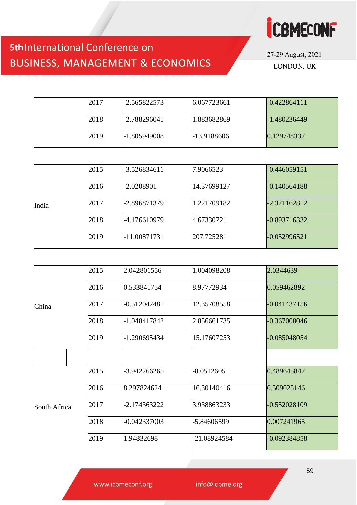

27-29 August, 2021 LONDON. UK

| 2017 | -2.565822573   | 6.067723661 | $-0.422864111$ |
|------|----------------|-------------|----------------|
| 2018 | -2.788296041   | 1.883682869 | -1.480236449   |
| 2019 | -1.805949008   | -13.9188606 | 0.129748337    |
|      |                |             |                |
| 2015 | -3.526834611   | 7.9066523   | $-0.446059151$ |
| 2016 | -2.0208901     | 14.37699127 | 0.140564188    |
| 2017 | -2.896871379   | 1.221709182 | -2.371162812   |
| 2018 | -4.176610979   | 4.67330721  | -0.893716332   |
| 2019 | -11.00871731   | 207.725281  | $-0.052996521$ |
|      |                |             |                |
| 2015 | 2.042801556    | 1.004098208 | 2.0344639      |
| 2016 | 0.533841754    | 8.97772934  | 0.059462892    |
| 2017 | $-0.512042481$ | 12.35708558 | $-0.041437156$ |
| 2018 | -1.048417842   | 2.856661735 | -0.367008046   |
| 2019 | -1.290695434   | 15.17607253 | -0.085048054   |
|      |                |             |                |
| 2015 | -3.942266265   | -8.0512605  | 0.489645847    |
| 2016 | 8.297824624    | 16.30140416 | 0.509025146    |
| 2017 | -2.174363222   | 3.938863233 | -0.552028109   |
| 2018 | -0.042337003   | -5.84606599 | 0.007241965    |
| 2019 | 1.94832698     | 21.08924584 | $-0.092384858$ |
|      |                |             |                |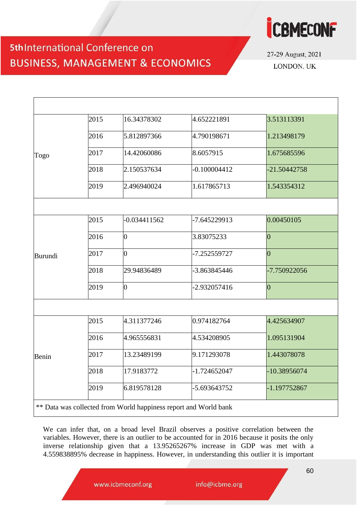

27-29 August, 2021 LONDON, UK

|         | 2015 | 16.34378302    | 4.652221891    | 3.513113391    |  |  |  |  |
|---------|------|----------------|----------------|----------------|--|--|--|--|
|         | 2016 | 5.812897366    | 4.790198671    | 1.213498179    |  |  |  |  |
| Togo    | 2017 | 14.42060086    | 8.6057915      | 1.675685596    |  |  |  |  |
|         | 2018 | 2.150537634    | $-0.100004412$ | -21.50442758   |  |  |  |  |
|         | 2019 | 2.496940024    | 1.617865713    | 1.543354312    |  |  |  |  |
|         |      |                |                |                |  |  |  |  |
|         | 2015 | $-0.034411562$ | -7.645229913   | 0.00450105     |  |  |  |  |
|         | 2016 | $\overline{0}$ | 3.83075233     | $\overline{0}$ |  |  |  |  |
| Burundi | 2017 | $\overline{0}$ | -7.252559727   | $\overline{0}$ |  |  |  |  |
|         | 2018 | 29.94836489    | -3.863845446   | -7.750922056   |  |  |  |  |
|         | 2019 | $\overline{0}$ | -2.932057416   | $\overline{0}$ |  |  |  |  |
|         |      |                |                |                |  |  |  |  |
|         | 2015 | 4.311377246    | 0.974182764    | 4.425634907    |  |  |  |  |
|         | 2016 | 4.965556831    | 4.534208905    | 1.095131904    |  |  |  |  |
| Benin   | 2017 | 13.23489199    | 9.171293078    | 1.443078078    |  |  |  |  |
|         | 2018 | 17.9183772     | -1.724652047   | -10.38956074   |  |  |  |  |
|         | 2019 | 6.819578128    | -5.693643752   | -1.197752867   |  |  |  |  |

We can infer that, on a broad level Brazil observes a positive correlation between the variables. However, there is an outlier to be accounted for in 2016 because it posits the only inverse relationship given that a 13.95265267% increase in GDP was met with a 4.559838895% decrease in happiness. However, in understanding this outlier it is important

www.icbmeconf.org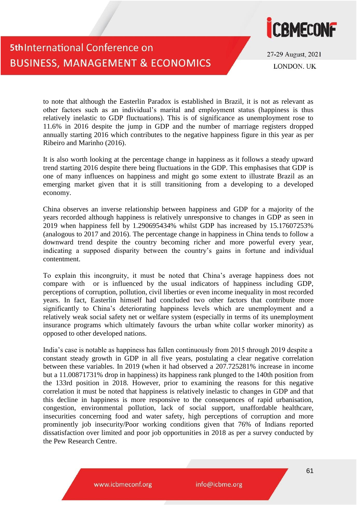

27-29 August, 2021 **LONDON UK** 

to note that although the Easterlin Paradox is established in Brazil, it is not as relevant as other factors such as an individual's marital and employment status (happiness is thus relatively inelastic to GDP fluctuations). This is of significance as unemployment rose to 11.6% in 2016 despite the jump in GDP and the number of marriage registers dropped annually starting 2016 which contributes to the negative happiness figure in this year as per Ribeiro and Marinho (2016).

It is also worth looking at the percentage change in happiness as it follows a steady upward trend starting 2016 despite there being fluctuations in the GDP. This emphasises that GDP is one of many influences on happiness and might go some extent to illustrate Brazil as an emerging market given that it is still transitioning from a developing to a developed economy.

China observes an inverse relationship between happiness and GDP for a majority of the years recorded although happiness is relatively unresponsive to changes in GDP as seen in 2019 when happiness fell by 1.290695434% whilst GDP has increased by 15.17607253% (analogous to 2017 and 2016). The percentage change in happiness in China tends to follow a downward trend despite the country becoming richer and more powerful every year, indicating a supposed disparity between the country's gains in fortune and individual contentment.

To explain this incongruity, it must be noted that China's average happiness does not compare with or is influenced by the usual indicators of happiness including GDP, perceptions of corruption, pollution, civil liberties or even income inequality in most recorded years. In fact, Easterlin himself had concluded two other factors that contribute more significantly to China's deteriorating happiness levels which are unemployment and a relatively weak social safety net or welfare system (especially in terms of its unemployment insurance programs which ultimately favours the urban white collar worker minority) as opposed to other developed nations.

India's case is notable as happiness has fallen continuously from 2015 through 2019 despite a constant steady growth in GDP in all five years, postulating a clear negative correlation between these variables. In 2019 (when it had observed a 207.725281% increase in income but a 11.00871731% drop in happiness) its happiness rank plunged to the 140th position from the 133rd position in 2018. However, prior to examining the reasons for this negative correlation it must be noted that happiness is relatively inelastic to changes in GDP and that this decline in happiness is more responsive to the consequences of rapid urbanisation, congestion, environmental pollution, lack of social support, unaffordable healthcare, insecurities concerning food and water safety, high perceptions of corruption and more prominently job insecurity/Poor working conditions given that 76% of Indians reported dissatisfaction over limited and poor job opportunities in 2018 as per a survey conducted by the Pew Research Centre.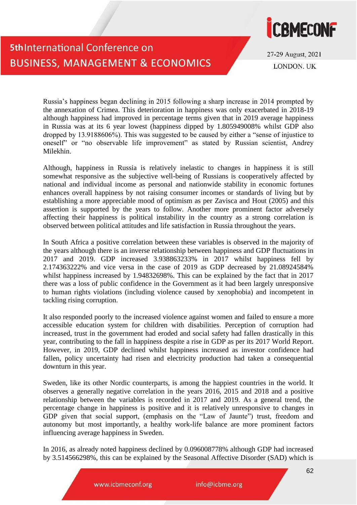

27-29 August, 2021 **LONDON UK** 

Russia's happiness began declining in 2015 following a sharp increase in 2014 prompted by the annexation of Crimea. This deterioration in happiness was only exacerbated in 2018-19 although happiness had improved in percentage terms given that in 2019 average happiness in Russia was at its 6 year lowest (happiness dipped by 1.805949008% whilst GDP also dropped by 13.9188606%). This was suggested to be caused by either a "sense of injustice to oneself" or "no observable life improvement" as stated by Russian scientist, Andrey Milekhin.

Although, happiness in Russia is relatively inelastic to changes in happiness it is still somewhat responsive as the subjective well-being of Russians is cooperatively affected by national and individual income as personal and nationwide stability in economic fortunes enhances overall happiness by not raising consumer incomes or standards of living but by establishing a more appreciable mood of optimism as per Zavisca and Hout (2005) and this assertion is supported by the years to follow. Another more prominent factor adversely affecting their happiness is political instability in the country as a strong correlation is observed between political attitudes and life satisfaction in Russia throughout the years.

In South Africa a positive correlation between these variables is observed in the majority of the years although there is an inverse relationship between happiness and GDP fluctuations in 2017 and 2019. GDP increased 3.938863233% in 2017 whilst happiness fell by 2.174363222% and vice versa in the case of 2019 as GDP decreased by 21.08924584% whilst happiness increased by 1.94832698%. This can be explained by the fact that in 2017 there was a loss of public confidence in the Government as it had been largely unresponsive to human rights violations (including violence caused by xenophobia) and incompetent in tackling rising corruption.

It also responded poorly to the increased violence against women and failed to ensure a more accessible education system for children with disabilities. Perception of corruption had increased, trust in the government had eroded and social safety had fallen drastically in this year, contributing to the fall in happiness despite a rise in GDP as per its 2017 World Report. However, in 2019, GDP declined whilst happiness increased as investor confidence had fallen, policy uncertainty had risen and electricity production had taken a consequential downturn in this year.

Sweden, like its other Nordic counterparts, is among the happiest countries in the world. It observes a generally negative correlation in the years 2016, 2015 and 2018 and a positive relationship between the variables is recorded in 2017 and 2019. As a general trend, the percentage change in happiness is positive and it is relatively unresponsive to changes in GDP given that social support, (emphasis on the "Law of Jaunte") trust, freedom and autonomy but most importantly, a healthy work-life balance are more prominent factors influencing average happiness in Sweden.

In 2016, as already noted happiness declined by 0.096008778% although GDP had increased by 3.514566298%, this can be explained by the Seasonal Affective Disorder (SAD) which is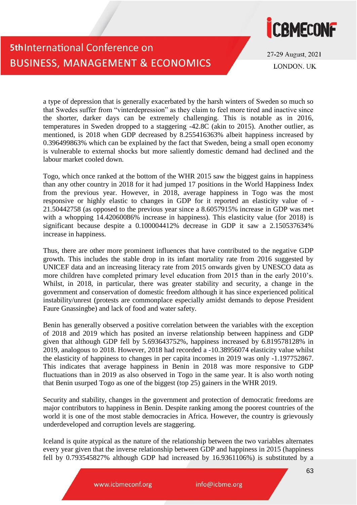

27-29 August, 2021 **LONDON. UK** 

a type of depression that is generally exacerbated by the harsh winters of Sweden so much so that Swedes suffer from "vinterdepression" as they claim to feel more tired and inactive since the shorter, darker days can be extremely challenging. This is notable as in 2016, temperatures in Sweden dropped to a staggering -42.8C (akin to 2015). Another outlier, as mentioned, is 2018 when GDP decreased by 8.255416363% albeit happiness increased by 0.396499863% which can be explained by the fact that Sweden, being a small open economy is vulnerable to external shocks but more saliently domestic demand had declined and the labour market cooled down.

Togo, which once ranked at the bottom of the WHR 2015 saw the biggest gains in happiness than any other country in 2018 for it had jumped 17 positions in the World Happiness Index from the previous year. However, in 2018, average happiness in Togo was the most responsive or highly elastic to changes in GDP for it reported an elasticity value of - 21.50442758 (as opposed to the previous year since a 8.6057915% increase in GDP was met with a whopping 14.42060086% increase in happiness). This elasticity value (for 2018) is significant because despite a 0.100004412% decrease in GDP it saw a 2.150537634% increase in happiness.

Thus, there are other more prominent influences that have contributed to the negative GDP growth. This includes the stable drop in its infant mortality rate from 2016 suggested by UNICEF data and an increasing literacy rate from 2015 onwards given by UNESCO data as more children have completed primary level education from 2015 than in the early 2010's. Whilst, in 2018, in particular, there was greater stability and security, a change in the government and conservation of domestic freedom although it has since experienced political instability/unrest (protests are commonplace especially amidst demands to depose President Faure Gnassingbe) and lack of food and water safety.

Benin has generally observed a positive correlation between the variables with the exception of 2018 and 2019 which has posited an inverse relationship between happiness and GDP given that although GDP fell by 5.693643752%, happiness increased by 6.819578128% in 2019, analogous to 2018. However, 2018 had recorded a -10.38956074 elasticity value whilst the elasticity of happiness to changes in per capita incomes in 2019 was only -1.197752867. This indicates that average happiness in Benin in 2018 was more responsive to GDP fluctuations than in 2019 as also observed in Togo in the same year. It is also worth noting that Benin usurped Togo as one of the biggest (top 25) gainers in the WHR 2019.

Security and stability, changes in the government and protection of democratic freedoms are major contributors to happiness in Benin. Despite ranking among the poorest countries of the world it is one of the most stable democracies in Africa. However, the country is grievously underdeveloped and corruption levels are staggering.

Iceland is quite atypical as the nature of the relationship between the two variables alternates every year given that the inverse relationship between GDP and happiness in 2015 (happiness fell by 0.793545827% although GDP had increased by 16.9361106%) is substituted by a

www.icbmeconf.org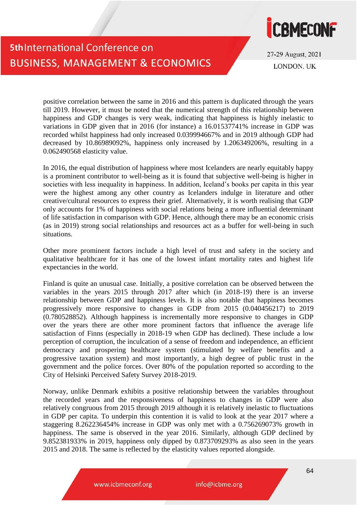

27-29 August, 2021 **LONDON UK** 

positive correlation between the same in 2016 and this pattern is duplicated through the years till 2019. However, it must be noted that the numerical strength of this relationship between happiness and GDP changes is very weak, indicating that happiness is highly inelastic to variations in GDP given that in 2016 (for instance) a 16.01537741% increase in GDP was recorded whilst happiness had only increased 0.039994667% and in 2019 although GDP had decreased by 10.86989092%, happiness only increased by 1.206349206%, resulting in a 0.062490568 elasticity value.

In 2016, the equal distribution of happiness where most Icelanders are nearly equitably happy is a prominent contributor to well-being as it is found that subjective well-being is higher in societies with less inequality in happiness. In addition, Iceland's books per capita in this year were the highest among any other country as Icelanders indulge in literature and other creative/cultural resources to express their grief. Alternatively, it is worth realising that GDP only accounts for 1% of happiness with social relations being a more influential determinant of life satisfaction in comparison with GDP. Hence, although there may be an economic crisis (as in 2019) strong social relationships and resources act as a buffer for well-being in such situations.

Other more prominent factors include a high level of trust and safety in the society and qualitative healthcare for it has one of the lowest infant mortality rates and highest life expectancies in the world.

Finland is quite an unusual case. Initially, a positive correlation can be observed between the variables in the years 2015 through 2017 after which (in 2018-19) there is an inverse relationship between GDP and happiness levels. It is also notable that happiness becomes progressively more responsive to changes in GDP from 2015 (0.040456217) to 2019 (0.780528852). Although happiness is incrementally more responsive to changes in GDP over the years there are other more prominent factors that influence the average life satisfaction of Finns (especially in 2018-19 when GDP has declined). These include a low perception of corruption, the inculcation of a sense of freedom and independence, an efficient democracy and prospering healthcare system (stimulated by welfare benefits and a progressive taxation system) and most importantly, a high degree of public trust in the government and the police forces. Over 80% of the population reported so according to the City of Helsinki Perceived Safety Survey 2018-2019.

Norway, unlike Denmark exhibits a positive relationship between the variables throughout the recorded years and the responsiveness of happiness to changes in GDP were also relatively congruous from 2015 through 2019 although it is relatively inelastic to fluctuations in GDP per capita. To underpin this contention it is valid to look at the year 2017 where a staggering 8.262236454% increase in GDP was only met with a 0.756269073% growth in happiness. The same is observed in the year 2016. Similarly, although GDP declined by 9.852381933% in 2019, happiness only dipped by 0.873709293% as also seen in the years 2015 and 2018. The same is reflected by the elasticity values reported alongside.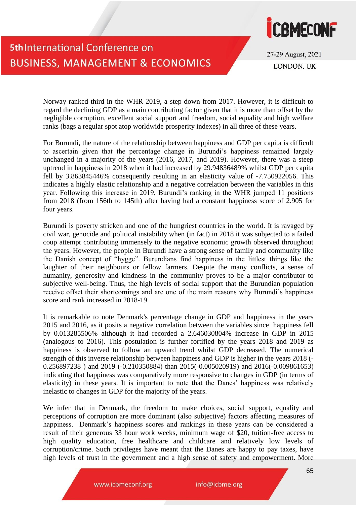

27-29 August, 2021 **LONDON. UK** 

Norway ranked third in the WHR 2019, a step down from 2017. However, it is difficult to regard the declining GDP as a main contributing factor given that it is more than offset by the negligible corruption, excellent social support and freedom, social equality and high welfare ranks (bags a regular spot atop worldwide prosperity indexes) in all three of these years.

For Burundi, the nature of the relationship between happiness and GDP per capita is difficult to ascertain given that the percentage change in Burundi's happiness remained largely unchanged in a majority of the years (2016, 2017, and 2019). However, there was a steep uptrend in happiness in 2018 when it had increased by 29.94836489% whilst GDP per capita fell by 3.863845446% consequently resulting in an elasticity value of -7.750922056. This indicates a highly elastic relationship and a negative correlation between the variables in this year. Following this increase in 2019, Burundi's ranking in the WHR jumped 11 positions from 2018 (from 156th to 145th) after having had a constant happiness score of 2.905 for four years.

Burundi is poverty stricken and one of the hungriest countries in the world. It is ravaged by civil war, genocide and political instability when (in fact) in 2018 it was subjected to a failed coup attempt contributing immensely to the negative economic growth observed throughout the years. However, the people in Burundi have a strong sense of family and community like the Danish concept of "hygge". Burundians find happiness in the littlest things like the laughter of their neighbours or fellow farmers. Despite the many conflicts, a sense of humanity, generosity and kindness in the community proves to be a major contributor to subjective well-being. Thus, the high levels of social support that the Burundian population receive offset their shortcomings and are one of the main reasons why Burundi's happiness score and rank increased in 2018-19.

It is remarkable to note Denmark's percentage change in GDP and happiness in the years 2015 and 2016, as it posits a negative correlation between the variables since happiness fell by 0.013285506% although it had recorded a 2.646030804% increase in GDP in 2015 (analogous to 2016). This postulation is further fortified by the years 2018 and 2019 as happiness is observed to follow an upward trend whilst GDP decreased. The numerical strength of this inverse relationship between happiness and GDP is higher in the years 2018 (- 0.256897238 ) and 2019 (-0.210350884) than 2015(-0.005020919) and 2016(-0.009861653) indicating that happiness was comparatively more responsive to changes in GDP (in terms of elasticity) in these years. It is important to note that the Danes' happiness was relatively inelastic to changes in GDP for the majority of the years.

We infer that in Denmark, the freedom to make choices, social support, equality and perceptions of corruption are more dominant (also subjective) factors affecting measures of happiness. Denmark's happiness scores and rankings in these years can be considered a result of their generous 33 hour work weeks, minimum wage of \$20, tuition-free access to high quality education, free healthcare and childcare and relatively low levels of corruption/crime. Such privileges have meant that the Danes are happy to pay taxes, have high levels of trust in the government and a high sense of safety and empowerment. More

www.icbmeconf.org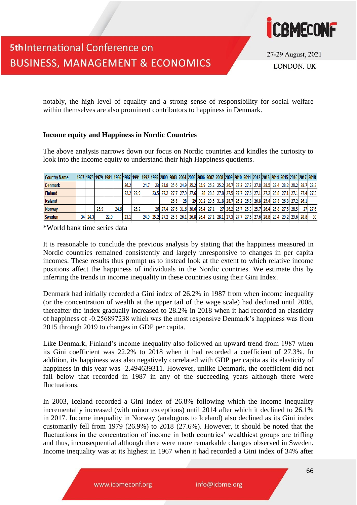

27-29 August, 2021 **LONDON UK** 

notably, the high level of equality and a strong sense of responsibility for social welfare within themselves are also prominent contributors to happiness in Denmark.

#### **Income equity and Happiness in Nordic Countries**

The above analysis narrows down our focus on Nordic countries and kindles the curiosity to look into the income equity to understand their high Happiness quotients.

| <b>Country Name</b> |         |      |      |      |      |           |      |  |      |                          |  |                                                                                           |  |  |  |                                            |  | 1978  1979  1981  1986  1987  1991  1992  1995  2000  2003  2004  2005  2006  2007  2008  2009  2010  2011  2012  2013  2014  2015  2016  2017  2018 |
|---------------------|---------|------|------|------|------|-----------|------|--|------|--------------------------|--|-------------------------------------------------------------------------------------------|--|--|--|--------------------------------------------|--|------------------------------------------------------------------------------------------------------------------------------------------------------|
| <b>Denmark</b>      |         |      |      |      | 26.2 |           | 24.7 |  |      |                          |  |                                                                                           |  |  |  |                                            |  | 23 23.8 25.6 24.9 25.2 25.9 26.2 25.2 26.7 27.2 27.3 27.8 28.5 28.4 28.2 28.2 28.7 28.2                                                              |
| <b>Finland</b>      |         |      |      |      |      | 22.2 22.9 |      |  |      | 23.5 27.2 27.7 27.9 27.6 |  |                                                                                           |  |  |  |                                            |  | 28 28.3 27.8 27.5 27.7 27.6 27.1 27.2 26.8 27.1 27.1 27.4 27.3                                                                                       |
| Iceland             |         |      |      |      |      |           |      |  | 26.8 | 28                       |  | 29 30.2 29.5 31.8 28.7 26.2 26.8 26.8 25.4 27.8 26.8 27.2 26.1                            |  |  |  |                                            |  |                                                                                                                                                      |
| <b>Norway</b>       |         | 26.9 |      | 24.6 |      | 25.2      |      |  |      |                          |  | 26 27.4 27.6 31.6 30.6 26.4 27.1                                                          |  |  |  | 27 26.2 25.7 25.3 25.7 26.4 26.8 27.5 28.5 |  | 27 27.6                                                                                                                                              |
| <b>Sweden</b>       | 34 24.3 |      | 22.9 |      | 23.1 |           |      |  |      |                          |  | 24.9 25.2 27.2 25.3 26.1 26.8 26.4 27.1 28.1 27.3 27.7 27.6 27.6 28.8 28.4 29.2 29.6 28.8 |  |  |  |                                            |  | 30 <sup>1</sup>                                                                                                                                      |

\*World bank time series data

It is reasonable to conclude the previous analysis by stating that the happiness measured in Nordic countries remained consistently and largely unresponsive to changes in per capita incomes. These results thus prompt us to instead look at the extent to which relative income positions affect the happiness of individuals in the Nordic countries. We estimate this by inferring the trends in income inequality in these countries using their Gini Index.

Denmark had initially recorded a Gini index of 26.2% in 1987 from when income inequality (or the concentration of wealth at the upper tail of the wage scale) had declined until 2008, thereafter the index gradually increased to 28.2% in 2018 when it had recorded an elasticity of happiness of -0.256897238 which was the most responsive Denmark's happiness was from 2015 through 2019 to changes in GDP per capita.

Like Denmark, Finland's income inequality also followed an upward trend from 1987 when its Gini coefficient was 22.2% to 2018 when it had recorded a coefficient of 27.3%. In addition, its happiness was also negatively correlated with GDP per capita as its elasticity of happiness in this year was -2.494639311. However, unlike Denmark, the coefficient did not fall below that recorded in 1987 in any of the succeeding years although there were fluctuations.

In 2003, Iceland recorded a Gini index of 26.8% following which the income inequality incrementally increased (with minor exceptions) until 2014 after which it declined to 26.1% in 2017. Income inequality in Norway (analogous to Iceland) also declined as its Gini index customarily fell from 1979 (26.9%) to 2018 (27.6%). However, it should be noted that the fluctuations in the concentration of income in both countries' wealthiest groups are trifling and thus, inconsequential although there were more remarkable changes observed in Sweden. Income inequality was at its highest in 1967 when it had recorded a Gini index of 34% after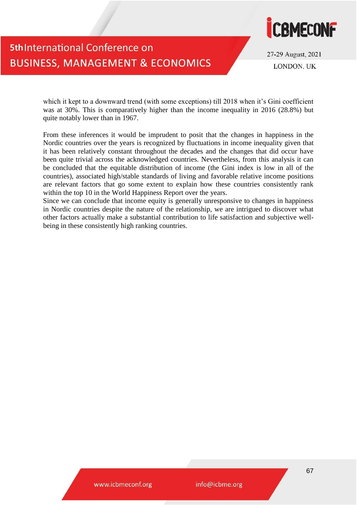

27-29 August, 2021 **LONDON UK** 

which it kept to a downward trend (with some exceptions) till 2018 when it's Gini coefficient was at 30%. This is comparatively higher than the income inequality in 2016 (28.8%) but quite notably lower than in 1967.

From these inferences it would be imprudent to posit that the changes in happiness in the Nordic countries over the years is recognized by fluctuations in income inequality given that it has been relatively constant throughout the decades and the changes that did occur have been quite trivial across the acknowledged countries. Nevertheless, from this analysis it can be concluded that the equitable distribution of income (the Gini index is low in all of the countries), associated high/stable standards of living and favorable relative income positions are relevant factors that go some extent to explain how these countries consistently rank within the top 10 in the World Happiness Report over the years.

Since we can conclude that income equity is generally unresponsive to changes in happiness in Nordic countries despite the nature of the relationship, we are intrigued to discover what other factors actually make a substantial contribution to life satisfaction and subjective wellbeing in these consistently high ranking countries.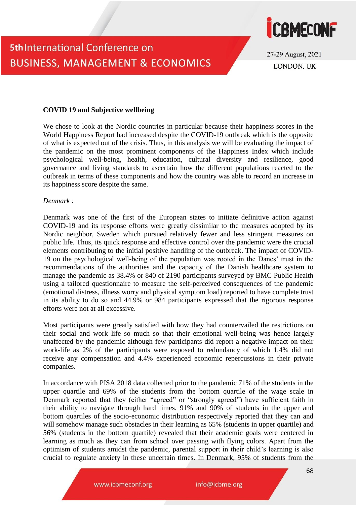



27-29 August, 2021 **LONDON UK** 

#### **COVID 19 and Subjective wellbeing**

We chose to look at the Nordic countries in particular because their happiness scores in the World Happiness Report had increased despite the COVID-19 outbreak which is the opposite of what is expected out of the crisis. Thus, in this analysis we will be evaluating the impact of the pandemic on the most prominent components of the Happiness Index which include psychological well-being, health, education, cultural diversity and resilience, good governance and living standards to ascertain how the different populations reacted to the outbreak in terms of these components and how the country was able to record an increase in its happiness score despite the same.

#### *Denmark :*

Denmark was one of the first of the European states to initiate definitive action against COVID-19 and its response efforts were greatly dissimilar to the measures adopted by its Nordic neighbor, Sweden which pursued relatively fewer and less stringent measures on public life. Thus, its quick response and effective control over the pandemic were the crucial elements contributing to the initial positive handling of the outbreak. The impact of COVID-19 on the psychological well-being of the population was rooted in the Danes' trust in the recommendations of the authorities and the capacity of the Danish healthcare system to manage the pandemic as 38.4% or 840 of 2190 participants surveyed by BMC Public Health using a tailored questionnaire to measure the self-perceived consequences of the pandemic (emotional distress, illness worry and physical symptom load) reported to have complete trust in its ability to do so and 44.9% or 984 participants expressed that the rigorous response efforts were not at all excessive.

Most participants were greatly satisfied with how they had countervailed the restrictions on their social and work life so much so that their emotional well-being was hence largely unaffected by the pandemic although few participants did report a negative impact on their work-life as 2% of the participants were exposed to redundancy of which 1.4% did not receive any compensation and 4.4% experienced economic repercussions in their private companies.

In accordance with PISA 2018 data collected prior to the pandemic 71% of the students in the upper quartile and 69% of the students from the bottom quartile of the wage scale in Denmark reported that they (either "agreed" or "strongly agreed") have sufficient faith in their ability to navigate through hard times. 91% and 90% of students in the upper and bottom quartiles of the socio-economic distribution respectively reported that they can and will somehow manage such obstacles in their learning as 65% (students in upper quartile) and 56% (students in the bottom quartile) revealed that their academic goals were centered in learning as much as they can from school over passing with flying colors. Apart from the optimism of students amidst the pandemic, parental support in their child's learning is also crucial to regulate anxiety in these uncertain times. In Denmark, 95% of students from the

www.icbmeconf.org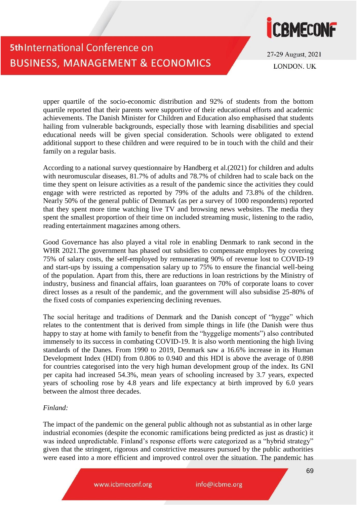

27-29 August, 2021 **LONDON UK** 

upper quartile of the socio-economic distribution and 92% of students from the bottom quartile reported that their parents were supportive of their educational efforts and academic achievements. The Danish Minister for Children and Education also emphasised that students hailing from vulnerable backgrounds, especially those with learning disabilities and special educational needs will be given special consideration. Schools were obligated to extend additional support to these children and were required to be in touch with the child and their family on a regular basis.

According to a national survey questionnaire by Handberg et al.(2021) for children and adults with neuromuscular diseases, 81.7% of adults and 78.7% of children had to scale back on the time they spent on leisure activities as a result of the pandemic since the activities they could engage with were restricted as reported by 79% of the adults and 73.8% of the children. Nearly 50% of the general public of Denmark (as per a survey of 1000 respondents) reported that they spent more time watching live TV and browsing news websites. The media they spent the smallest proportion of their time on included streaming music, listening to the radio, reading entertainment magazines among others.

Good Governance has also played a vital role in enabling Denmark to rank second in the WHR 2021. The government has phased out subsidies to compensate employees by covering 75% of salary costs, the self-employed by remunerating 90% of revenue lost to COVID-19 and start-ups by issuing a compensation salary up to 75% to ensure the financial well-being of the population. Apart from this, there are reductions in loan restrictions by the Ministry of industry, business and financial affairs, loan guarantees on 70% of corporate loans to cover direct losses as a result of the pandemic, and the government will also subsidise 25-80% of the fixed costs of companies experiencing declining revenues.

The social heritage and traditions of Denmark and the Danish concept of "hygge" which relates to the contentment that is derived from simple things in life (the Danish were thus happy to stay at home with family to benefit from the "hyggelige moments") also contributed immensely to its success in combating COVID-19. It is also worth mentioning the high living standards of the Danes. From 1990 to 2019, Denmark saw a 16.6% increase in its Human Development Index (HDI) from 0.806 to 0.940 and this HDI is above the average of 0.898 for countries categorised into the very high human development group of the index. Its GNI per capita had increased 54.3%, mean years of schooling increased by 3.7 years, expected years of schooling rose by 4.8 years and life expectancy at birth improved by 6.0 years between the almost three decades.

#### *Finland:*

The impact of the pandemic on the general public although not as substantial as in other large industrial economies (despite the economic ramifications being predicted as just as drastic) it was indeed unpredictable. Finland's response efforts were categorized as a "hybrid strategy" given that the stringent, rigorous and constrictive measures pursued by the public authorities were eased into a more efficient and improved control over the situation. The pandemic has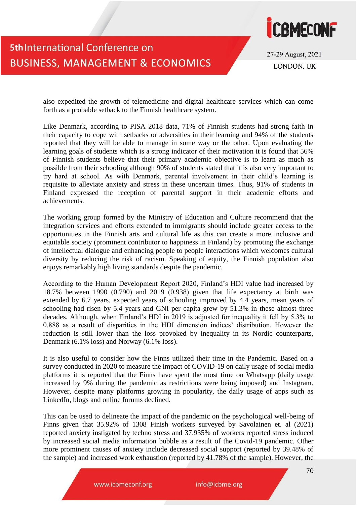

27-29 August, 2021 **LONDON. UK** 

also expedited the growth of telemedicine and digital healthcare services which can come forth as a probable setback to the Finnish healthcare system.

Like Denmark, according to PISA 2018 data, 71% of Finnish students had strong faith in their capacity to cope with setbacks or adversities in their learning and 94% of the students reported that they will be able to manage in some way or the other. Upon evaluating the learning goals of students which is a strong indicator of their motivation it is found that 56% of Finnish students believe that their primary academic objective is to learn as much as possible from their schooling although 90% of students stated that it is also very important to try hard at school. As with Denmark, parental involvement in their child's learning is requisite to alleviate anxiety and stress in these uncertain times. Thus, 91% of students in Finland expressed the reception of parental support in their academic efforts and achievements.

The working group formed by the Ministry of Education and Culture recommend that the integration services and efforts extended to immigrants should include greater access to the opportunities in the Finnish arts and cultural life as this can create a more inclusive and equitable society (prominent contributor to happiness in Finland) by promoting the exchange of intellectual dialogue and enhancing people to people interactions which welcomes cultural diversity by reducing the risk of racism. Speaking of equity, the Finnish population also enjoys remarkably high living standards despite the pandemic.

According to the Human Development Report 2020, Finland's HDI value had increased by 18.7% between 1990 (0.790) and 2019 (0.938) given that life expectancy at birth was extended by 6.7 years, expected years of schooling improved by 4.4 years, mean years of schooling had risen by 5.4 years and GNI per capita grew by 51.3% in these almost three decades. Although, when Finland's HDI in 2019 is adjusted for inequality it fell by 5.3% to 0.888 as a result of disparities in the HDI dimension indices' distribution. However the reduction is still lower than the loss provoked by inequality in its Nordic counterparts, Denmark (6.1% loss) and Norway (6.1% loss).

It is also useful to consider how the Finns utilized their time in the Pandemic. Based on a survey conducted in 2020 to measure the impact of COVID-19 on daily usage of social media platforms it is reported that the Finns have spent the most time on Whatsapp (daily usage increased by 9% during the pandemic as restrictions were being imposed) and Instagram. However, despite many platforms growing in popularity, the daily usage of apps such as LinkedIn, blogs and online forums declined.

This can be used to delineate the impact of the pandemic on the psychological well-being of Finns given that 35.92% of 1308 Finish workers surveyed by Savolainen et. al (2021) reported anxiety instigated by techno stress and 37.935% of workers reported stress induced by increased social media information bubble as a result of the Covid-19 pandemic. Other more prominent causes of anxiety include decreased social support (reported by 39.48% of the sample) and increased work exhaustion (reported by 41.78% of the sample). However, the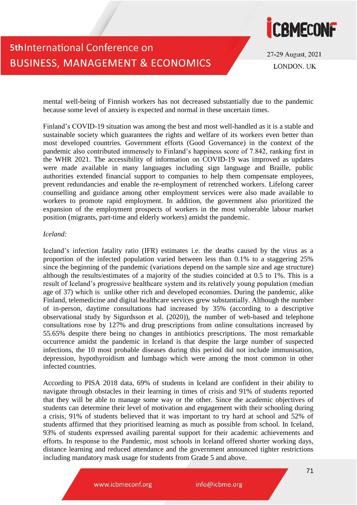

27-29 August, 2021 **LONDON UK** 

mental well-being of Finnish workers has not decreased substantially due to the pandemic because some level of anxiety is expected and normal in these uncertain times.

Finland's COVID-19 situation was among the best and most well-handled as it is a stable and sustainable society which guarantees the rights and welfare of its workers even better than most developed countries. Government efforts (Good Governance) in the context of the pandemic also contributed immensely to Finland's happiness score of 7.842, ranking first in the WHR 2021. The accessibility of information on COVID-19 was improved as updates were made available in many languages including sign language and Braille, public authorities extended financial support to companies to help them compensate employees, prevent redundancies and enable the re-employment of retrenched workers. Lifelong career counselling and guidance among other employment services were also made available to workers to promote rapid employment. In addition, the government also prioritized the expansion of the employment prospects of workers in the most vulnerable labour market position (migrants, part-time and elderly workers) amidst the pandemic.

#### *Iceland:*

Iceland's infection fatality ratio (IFR) estimates i.e. the deaths caused by the virus as a proportion of the infected population varied between less than 0.1% to a staggering 25% since the beginning of the pandemic (variations depend on the sample size and age structure) although the results/estimates of a majority of the studies coincided at 0.5 to 1%. This is a result of Iceland's progressive healthcare system and its relatively young population (median age of 37) which is unlike other rich and developed economies. During the pandemic, alike Finland, telemedicine and digital healthcare services grew substantially. Although the number of in-person, daytime consultations had increased by 35% (according to a descriptive observational study by Sigurdsson et al. (2020)), the number of web-based and telephone consultations rose by 127% and drug prescriptions from online consultations increased by 55.65% despite there being no changes in antibiotics prescriptions. The most remarkable occurrence amidst the pandemic in Iceland is that despite the large number of suspected infections, the 10 most probable diseases during this period did not include immunisation, depression, hypothyroidism and lumbago which were among the most common in other infected countries.

According to PISA 2018 data, 69% of students in Iceland are confident in their ability to navigate through obstacles in their learning in times of crisis and 91% of students reported that they will be able to manage some way or the other. Since the academic objectives of students can determine their level of motivation and engagement with their schooling during a crisis, 91% of students believed that it was important to try hard at school and 52% of students affirmed that they prioritised learning as much as possible from school. In Iceland, 93% of students expressed availing parental support for their academic achievements and efforts. In response to the Pandemic, most schools in Iceland offered shorter working days, distance learning and reduced attendance and the government announced tighter restrictions including mandatory mask usage for students from Grade 5 and above.

www.icbmeconf.org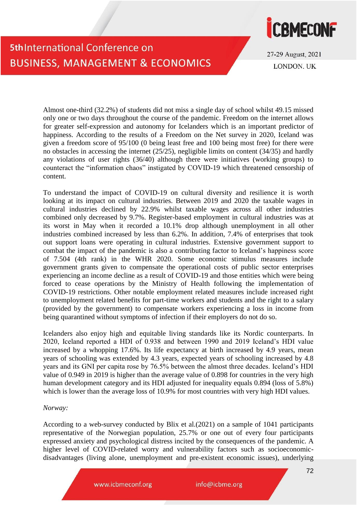# **CBMECONF**

## **5th International Conference on BUSINESS, MANAGEMENT & ECONOMICS**

27-29 August, 2021 **LONDON UK** 

Almost one-third (32.2%) of students did not miss a single day of school whilst 49.15 missed only one or two days throughout the course of the pandemic. Freedom on the internet allows for greater self-expression and autonomy for Icelanders which is an important predictor of happiness. According to the results of a Freedom on the Net survey in 2020, Iceland was given a freedom score of 95/100 (0 being least free and 100 being most free) for there were no obstacles in accessing the internet (25/25), negligible limits on content (34/35) and hardly any violations of user rights (36/40) although there were initiatives (working groups) to counteract the "information chaos" instigated by COVID-19 which threatened censorship of content.

To understand the impact of COVID-19 on cultural diversity and resilience it is worth looking at its impact on cultural industries. Between 2019 and 2020 the taxable wages in cultural industries declined by 22.9% whilst taxable wages across all other industries combined only decreased by 9.7%. Register-based employment in cultural industries was at its worst in May when it recorded a 10.1% drop although unemployment in all other industries combined increased by less than 6.2%. In addition, 7.4% of enterprises that took out support loans were operating in cultural industries. Extensive government support to combat the impact of the pandemic is also a contributing factor to Iceland's happiness score of 7.504 (4th rank) in the WHR 2020. Some economic stimulus measures include government grants given to compensate the operational costs of public sector enterprises experiencing an income decline as a result of COVID-19 and those entities which were being forced to cease operations by the Ministry of Health following the implementation of COVID-19 restrictions. Other notable employment related measures include increased right to unemployment related benefits for part-time workers and students and the right to a salary (provided by the government) to compensate workers experiencing a loss in income from being quarantined without symptoms of infection if their employers do not do so.

Icelanders also enjoy high and equitable living standards like its Nordic counterparts. In 2020, Iceland reported a HDI of 0.938 and between 1990 and 2019 Iceland's HDI value increased by a whopping 17.6%. Its life expectancy at birth increased by 4.9 years, mean years of schooling was extended by 4.3 years, expected years of schooling increased by 4.8 years and its GNI per capita rose by 76.5% between the almost three decades. Iceland's HDI value of 0.949 in 2019 is higher than the average value of 0.898 for countries in the very high human development category and its HDI adjusted for inequality equals 0.894 (loss of 5.8%) which is lower than the average loss of 10.9% for most countries with very high HDI values.

*Norway:*

According to a web-survey conducted by Blix et al.(2021) on a sample of 1041 participants representative of the Norwegian population, 25.7% or one out of every four participants expressed anxiety and psychological distress incited by the consequences of the pandemic. A higher level of COVID-related worry and vulnerability factors such as socioeconomicdisadvantages (living alone, unemployment and pre-existent economic issues), underlying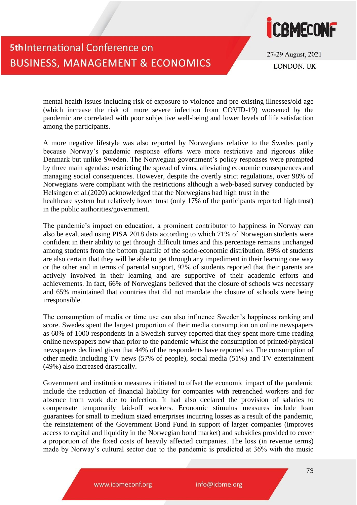

27-29 August, 2021 **LONDON UK** 

mental health issues including risk of exposure to violence and pre-existing illnesses/old age (which increase the risk of more severe infection from COVID-19) worsened by the pandemic are correlated with poor subjective well-being and lower levels of life satisfaction among the participants.

A more negative lifestyle was also reported by Norwegians relative to the Swedes partly because Norway's pandemic response efforts were more restrictive and rigorous alike Denmark but unlike Sweden. The Norwegian government's policy responses were prompted by three main agendas: restricting the spread of virus, alleviating economic consequences and managing social consequences. However, despite the overtly strict regulations, over 98% of Norwegians were compliant with the restrictions although a web-based survey conducted by Helsingen et al.(2020) acknowledged that the Norwegians had high trust in the healthcare system but relatively lower trust (only 17% of the participants reported high trust) in the public authorities/government.

The pandemic's impact on education, a prominent contributor to happiness in Norway can also be evaluated using PISA 2018 data according to which 71% of Norwegian students were confident in their ability to get through difficult times and this percentage remains unchanged among students from the bottom quartile of the socio-economic distribution. 89% of students are also certain that they will be able to get through any impediment in their learning one way or the other and in terms of parental support, 92% of students reported that their parents are actively involved in their learning and are supportive of their academic efforts and achievements. In fact, 66% of Norwegians believed that the closure of schools was necessary and 65% maintained that countries that did not mandate the closure of schools were being irresponsible.

The consumption of media or time use can also influence Sweden's happiness ranking and score. Swedes spent the largest proportion of their media consumption on online newspapers as 60% of 1000 respondents in a Swedish survey reported that they spent more time reading online newspapers now than prior to the pandemic whilst the consumption of printed/physical newspapers declined given that 44% of the respondents have reported so. The consumption of other media including TV news (57% of people), social media (51%) and TV entertainment (49%) also increased drastically.

Government and institution measures initiated to offset the economic impact of the pandemic include the reduction of financial liability for companies with retrenched workers and for absence from work due to infection. It had also declared the provision of salaries to compensate temporarily laid-off workers. Economic stimulus measures include loan guarantees for small to medium sized enterprises incurring losses as a result of the pandemic, the reinstatement of the Government Bond Fund in support of larger companies (improves access to capital and liquidity in the Norwegian bond market) and subsidies provided to cover a proportion of the fixed costs of heavily affected companies. The loss (in revenue terms) made by Norway's cultural sector due to the pandemic is predicted at 36% with the music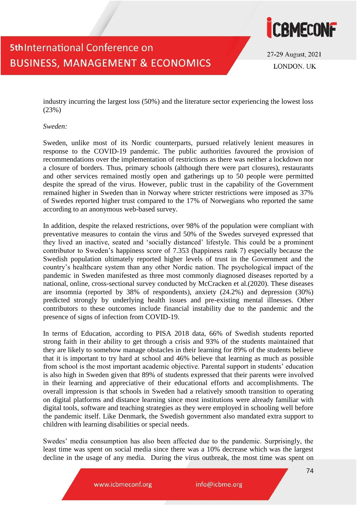

27-29 August, 2021 **LONDON UK** 

industry incurring the largest loss (50%) and the literature sector experiencing the lowest loss (23%)

*Sweden:*

Sweden, unlike most of its Nordic counterparts, pursued relatively lenient measures in response to the COVID-19 pandemic. The public authorities favoured the provision of recommendations over the implementation of restrictions as there was neither a lockdown nor a closure of borders. Thus, primary schools (although there were part closures), restaurants and other services remained mostly open and gatherings up to 50 people were permitted despite the spread of the virus. However, public trust in the capability of the Government remained higher in Sweden than in Norway where stricter restrictions were imposed as 37% of Swedes reported higher trust compared to the 17% of Norwegians who reported the same according to an anonymous web-based survey.

In addition, despite the relaxed restrictions, over 98% of the population were compliant with preventative measures to contain the virus and 50% of the Swedes surveyed expressed that they lived an inactive, seated and 'socially distanced' lifestyle. This could be a prominent contributor to Sweden's happiness score of 7.353 (happiness rank 7) especially because the Swedish population ultimately reported higher levels of trust in the Government and the country's healthcare system than any other Nordic nation. The psychological impact of the pandemic in Sweden manifested as three most commonly diagnosed diseases reported by a national, online, cross-sectional survey conducted by McCracken et al.(2020). These diseases are insomnia (reported by 38% of respondents), anxiety (24.2%) and depression (30%) predicted strongly by underlying health issues and pre-existing mental illnesses. Other contributors to these outcomes include financial instability due to the pandemic and the presence of signs of infection from COVID-19.

In terms of Education, according to PISA 2018 data, 66% of Swedish students reported strong faith in their ability to get through a crisis and 93% of the students maintained that they are likely to somehow manage obstacles in their learning for 89% of the students believe that it is important to try hard at school and 46% believe that learning as much as possible from school is the most important academic objective. Parental support in students' education is also high in Sweden given that 89% of students expressed that their parents were involved in their learning and appreciative of their educational efforts and accomplishments. The overall impression is that schools in Sweden had a relatively smooth transition to operating on digital platforms and distance learning since most institutions were already familiar with digital tools, software and teaching strategies as they were employed in schooling well before the pandemic itself. Like Denmark, the Swedish government also mandated extra support to children with learning disabilities or special needs.

Swedes' media consumption has also been affected due to the pandemic. Surprisingly, the least time was spent on social media since there was a 10% decrease which was the largest decline in the usage of any media. During the virus outbreak, the most time was spent on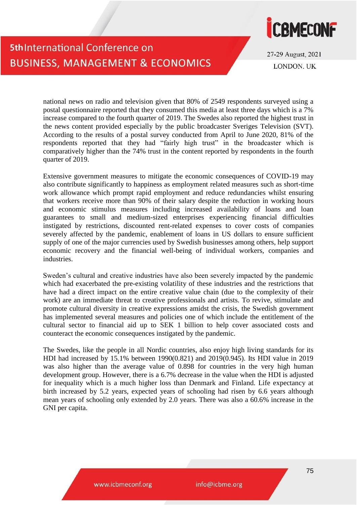

27-29 August, 2021 **LONDON UK** 

national news on radio and television given that 80% of 2549 respondents surveyed using a postal questionnaire reported that they consumed this media at least three days which is a 7% increase compared to the fourth quarter of 2019. The Swedes also reported the highest trust in the news content provided especially by the public broadcaster Sveriges Television (SVT). According to the results of a postal survey conducted from April to June 2020, 81% of the respondents reported that they had "fairly high trust" in the broadcaster which is comparatively higher than the 74% trust in the content reported by respondents in the fourth quarter of 2019.

Extensive government measures to mitigate the economic consequences of COVID-19 may also contribute significantly to happiness as employment related measures such as short-time work allowance which prompt rapid employment and reduce redundancies whilst ensuring that workers receive more than 90% of their salary despite the reduction in working hours and economic stimulus measures including increased availability of loans and loan guarantees to small and medium-sized enterprises experiencing financial difficulties instigated by restrictions, discounted rent-related expenses to cover costs of companies severely affected by the pandemic, enablement of loans in US dollars to ensure sufficient supply of one of the major currencies used by Swedish businesses among others, help support economic recovery and the financial well-being of individual workers, companies and industries.

Sweden's cultural and creative industries have also been severely impacted by the pandemic which had exacerbated the pre-existing volatility of these industries and the restrictions that have had a direct impact on the entire creative value chain (due to the complexity of their work) are an immediate threat to creative professionals and artists. To revive, stimulate and promote cultural diversity in creative expressions amidst the crisis, the Swedish government has implemented several measures and policies one of which include the entitlement of the cultural sector to financial aid up to SEK 1 billion to help cover associated costs and counteract the economic consequences instigated by the pandemic.

The Swedes, like the people in all Nordic countries, also enjoy high living standards for its HDI had increased by 15.1% between 1990(0.821) and 2019(0.945). Its HDI value in 2019 was also higher than the average value of 0.898 for countries in the very high human development group. However, there is a 6.7% decrease in the value when the HDI is adjusted for inequality which is a much higher loss than Denmark and Finland. Life expectancy at birth increased by 5.2 years, expected years of schooling had risen by 6.6 years although mean years of schooling only extended by 2.0 years. There was also a 60.6% increase in the GNI per capita.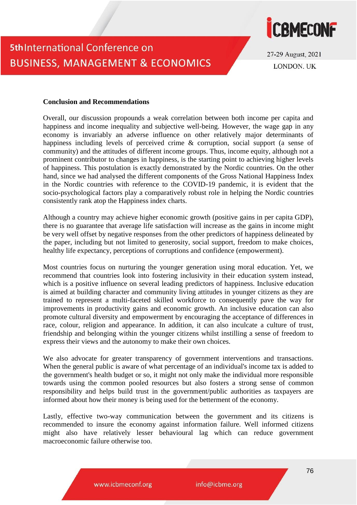

27-29 August, 2021 **LONDON UK** 

#### **Conclusion and Recommendations**

Overall, our discussion propounds a weak correlation between both income per capita and happiness and income inequality and subjective well-being. However, the wage gap in any economy is invariably an adverse influence on other relatively major determinants of happiness including levels of perceived crime & corruption, social support (a sense of community) and the attitudes of different income groups. Thus, income equity, although not a prominent contributor to changes in happiness, is the starting point to achieving higher levels of happiness. This postulation is exactly demonstrated by the Nordic countries. On the other hand, since we had analysed the different components of the Gross National Happiness Index in the Nordic countries with reference to the COVID-19 pandemic, it is evident that the socio-psychological factors play a comparatively robust role in helping the Nordic countries consistently rank atop the Happiness index charts.

Although a country may achieve higher economic growth (positive gains in per capita GDP), there is no guarantee that average life satisfaction will increase as the gains in income might be very well offset by negative responses from the other predictors of happiness delineated by the paper, including but not limited to generosity, social support, freedom to make choices, healthy life expectancy, perceptions of corruptions and confidence (empowerment).

Most countries focus on nurturing the younger generation using moral education. Yet, we recommend that countries look into fostering inclusivity in their education system instead, which is a positive influence on several leading predictors of happiness. Inclusive education is aimed at building character and community living attitudes in younger citizens as they are trained to represent a multi-faceted skilled workforce to consequently pave the way for improvements in productivity gains and economic growth. An inclusive education can also promote cultural diversity and empowerment by encouraging the acceptance of differences in race, colour, religion and appearance. In addition, it can also inculcate a culture of trust, friendship and belonging within the younger citizens whilst instilling a sense of freedom to express their views and the autonomy to make their own choices.

We also advocate for greater transparency of government interventions and transactions. When the general public is aware of what percentage of an individual's income tax is added to the government's health budget or so, it might not only make the individual more responsible towards using the common pooled resources but also fosters a strong sense of common responsibility and helps build trust in the government/public authorities as taxpayers are informed about how their money is being used for the betterment of the economy.

Lastly, effective two-way communication between the government and its citizens is recommended to insure the economy against information failure. Well informed citizens might also have relatively lesser behavioural lag which can reduce government macroeconomic failure otherwise too.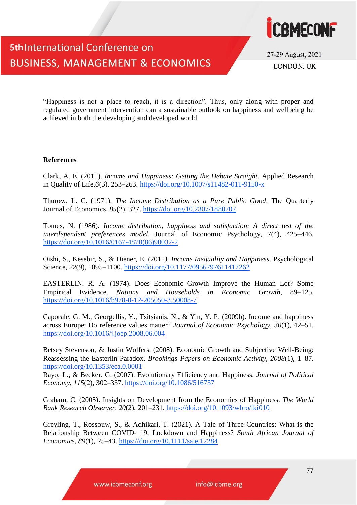

27-29 August, 2021 **LONDON. UK** 

"Happiness is not a place to reach, it is a direction". Thus, only along with proper and regulated government intervention can a sustainable outlook on happiness and wellbeing be achieved in both the developing and developed world.

#### **References**

Clark, A. E. (2011). *Income and Happiness: Getting the Debate Straight*. Applied Research in Quality of Life,*6*(3), 253–263.<https://doi.org/10.1007/s11482-011-9150-x>

Thurow, L. C. (1971). *The Income Distribution as a Pure Public Good*. The Quarterly Journal of Economics, *85*(2), 327.<https://doi.org/10.2307/1880707>

Tomes, N. (1986). *Income distribution, happiness and satisfaction: A direct test of the interdependent preferences model*. Journal of Economic Psychology, 7(4), 425–446. [https://doi.org/10.1016/0167-4870\(86\)90032-2](https://doi.org/10.1016/0167-4870(86)90032-2)

Oishi, S., Kesebir, S., & Diener, E. (2011*). Income Inequality and Happiness*. Psychological Science, *22*(9), 1095–1100.<https://doi.org/10.1177/0956797611417262>

EASTERLIN, R. A. (1974). Does Economic Growth Improve the Human Lot? Some Empirical Evidence. *Nations and Households in Economic Growth*, 89–125. <https://doi.org/10.1016/b978-0-12-205050-3.50008-7>

Caporale, G. M., Georgellis, Y., Tsitsianis, N., & Yin, Y. P. (2009b). Income and happiness across Europe: Do reference values matter? *Journal of Economic Psychology*, *30*(1), 42–51. <https://doi.org/10.1016/j.joep.2008.06.004>

Betsey Stevenson, & Justin Wolfers. (2008). Economic Growth and Subjective Well-Being: Reassessing the Easterlin Paradox. *Brookings Papers on Economic Activity*, *2008*(1), 1–87. <https://doi.org/10.1353/eca.0.0001>

Rayo, L., & Becker, G. (2007). Evolutionary Efficiency and Happiness. *Journal of Political Economy*, *115*(2), 302–337.<https://doi.org/10.1086/516737>

Graham, C. (2005). Insights on Development from the Economics of Happiness. *The World Bank Research Observer*, *20*(2), 201–231.<https://doi.org/10.1093/wbro/lki010>

Greyling, T., Rossouw, S., & Adhikari, T. (2021). A Tale of Three Countries: What is the Relationship Between COVID‐ 19, Lockdown and Happiness? *South African Journal of Economics*, *89*(1), 25–43.<https://doi.org/10.1111/saje.12284>

www.icbmeconf.org

info@icbme.org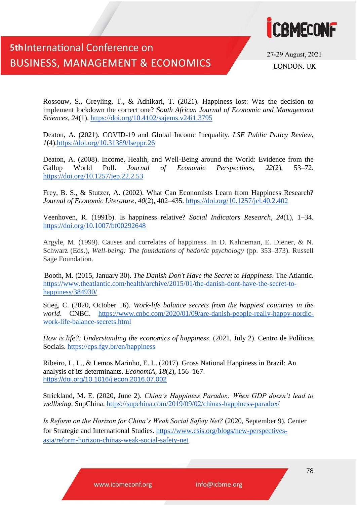

27-29 August, 2021 **LONDON. UK** 

Rossouw, S., Greyling, T., & Adhikari, T. (2021). Happiness lost: Was the decision to implement lockdown the correct one? *South African Journal of Economic and Management Sciences*, *24*(1).<https://doi.org/10.4102/sajems.v24i1.3795>

Deaton, A. (2021). COVID-19 and Global Income Inequality. *LSE Public Policy Review*, *1*(4)[.https://doi.org/10.31389/lseppr.26](https://doi.org/10.31389/lseppr.26)

Deaton, A. (2008). Income, Health, and Well-Being around the World: Evidence from the Gallup World Poll. *Journal of Economic Perspectives*, *22*(2), 53–72. <https://doi.org/10.1257/jep.22.2.53>

Frey, B. S., & Stutzer, A. (2002). What Can Economists Learn from Happiness Research? *Journal of Economic Literature*, *40*(2), 402–435.<https://doi.org/10.1257/jel.40.2.402>

Veenhoven, R. (1991b). Is happiness relative? *Social Indicators Research*, *24*(1), 1–34. <https://doi.org/10.1007/bf00292648>

Argyle, M. (1999). Causes and correlates of happiness. In D. Kahneman, E. Diener, & N. Schwarz (Eds.), *Well-being: The foundations of hedonic psychology* (pp. 353–373). Russell Sage Foundation.

Booth, M. (2015, January 30). *The Danish Don't Have the Secret to Happiness*. The Atlantic. [https://www.theatlantic.com/health/archive/2015/01/the-danish-dont-have-the-secret-to](https://www.theatlantic.com/health/archive/2015/01/the-danish-dont-have-the-secret-to-happiness/384930/)[happiness/384930/](https://www.theatlantic.com/health/archive/2015/01/the-danish-dont-have-the-secret-to-happiness/384930/)

Stieg, C. (2020, October 16). *Work-life balance secrets from the happiest countries in the world*. CNBC. [https://www.cnbc.com/2020/01/09/are-danish-people-really-happy-nordic](https://www.cnbc.com/2020/01/09/are-danish-people-really-happy-nordic-work-life-balance-secrets.html)[work-life-balance-secrets.html](https://www.cnbc.com/2020/01/09/are-danish-people-really-happy-nordic-work-life-balance-secrets.html)

*How is life?: Understanding the economics of happiness*. (2021, July 2). Centro de Políticas Sociais.<https://cps.fgv.br/en/happiness>

Ribeiro, L. L., & Lemos Marinho, E. L. (2017). Gross National Happiness in Brazil: An analysis of its determinants. *EconomiA*, *18*(2), 156–167. <https://doi.org/10.1016/j.econ.2016.07.002>

Strickland, M. E. (2020, June 2). *China's Happiness Paradox: When GDP doesn't lead to wellbeing*. SupChina.<https://supchina.com/2019/09/02/chinas-happiness-paradox/>

*Is Reform on the Horizon for China's Weak Social Safety Net?* (2020, September 9). Center for Strategic and International Studies. [https://www.csis.org/blogs/new-perspectives](https://www.csis.org/blogs/new-perspectives-asia/reform-horizon-chinas-weak-social-safety-net)[asia/reform-horizon-chinas-weak-social-safety-net](https://www.csis.org/blogs/new-perspectives-asia/reform-horizon-chinas-weak-social-safety-net)

www.icbmeconf.org

info@icbme.org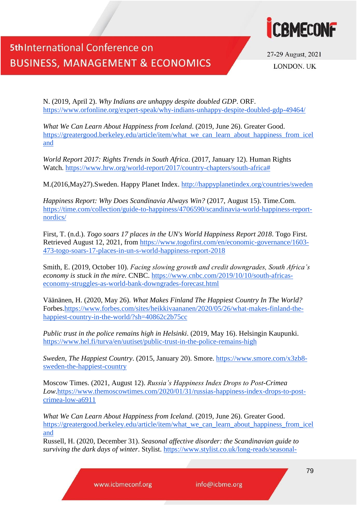

27-29 August, 2021 **LONDON. UK** 

N. (2019, April 2). *Why Indians are unhappy despite doubled GDP*. ORF. <https://www.orfonline.org/expert-speak/why-indians-unhappy-despite-doubled-gdp-49464/>

*What We Can Learn About Happiness from Iceland*. (2019, June 26). Greater Good. [https://greatergood.berkeley.edu/article/item/what\\_we\\_can\\_learn\\_about\\_happiness\\_from\\_icel](https://greatergood.berkeley.edu/article/item/what_we_can_learn_about_happiness_from_iceland) [and](https://greatergood.berkeley.edu/article/item/what_we_can_learn_about_happiness_from_iceland)

*World Report 2017: Rights Trends in South Africa*. (2017, January 12). Human Rights Watch. [https://www.hrw.org/world-report/2017/country-chapters/south-africa#](https://www.hrw.org/world-report/2017/country-chapters/south-africa)

M.(2016,May27).Sweden. Happy Planet Index.<http://happyplanetindex.org/countries/sweden>

*Happiness Report: Why Does Scandinavia Always Win?* (2017, August 15). Time.Com. [https://time.com/collection/guide-to-happiness/4706590/scandinavia-world-happiness-report](https://time.com/collection/guide-to-happiness/4706590/scandinavia-world-happiness-report-nordics/)[nordics/](https://time.com/collection/guide-to-happiness/4706590/scandinavia-world-happiness-report-nordics/)

First, T. (n.d.). *Togo soars 17 places in the UN's World Happiness Report 2018*. Togo First. Retrieved August 12, 2021, from [https://www.togofirst.com/en/economic-governance/1603-](https://www.togofirst.com/en/economic-governance/1603-473-togo-soars-17-places-in-un-s-world-happiness-report-2018) [473-togo-soars-17-places-in-un-s-world-happiness-report-2018](https://www.togofirst.com/en/economic-governance/1603-473-togo-soars-17-places-in-un-s-world-happiness-report-2018)

Smith, E. (2019, October 10). *Facing slowing growth and credit downgrades, South Africa's economy is stuck in the mire*. CNBC. [https://www.cnbc.com/2019/10/10/south-africas](https://www.cnbc.com/2019/10/10/south-africas-economy-struggles-as-world-bank-downgrades-forecast.html)[economy-struggles-as-world-bank-downgrades-forecast.html](https://www.cnbc.com/2019/10/10/south-africas-economy-struggles-as-world-bank-downgrades-forecast.html)

Väänänen, H. (2020, May 26). *What Makes Finland The Happiest Country In The World?* Forbes[.https://www.forbes.com/sites/heikkivaananen/2020/05/26/what-makes-finland-the](https://www.forbes.com/sites/heikkivaananen/2020/05/26/what-makes-finland-the-happiest-country-in-the-world/?sh=40862c2b75cc)[happiest-country-in-the-world/?sh=40862c2b75cc](https://www.forbes.com/sites/heikkivaananen/2020/05/26/what-makes-finland-the-happiest-country-in-the-world/?sh=40862c2b75cc)

*Public trust in the police remains high in Helsinki*. (2019, May 16). Helsingin Kaupunki. <https://www.hel.fi/turva/en/uutiset/public-trust-in-the-police-remains-high>

*Sweden, The Happiest Country*. (2015, January 20). Smore. [https://www.smore.com/x3zb8](https://www.smore.com/x3zb8-sweden-the-happiest-country) [sweden-the-happiest-country](https://www.smore.com/x3zb8-sweden-the-happiest-country)

Moscow Times. (2021, August 12). *Russia's Happiness Index Drops to Post-Crimea Low*[.https://www.themoscowtimes.com/2020/01/31/russias-happiness-index-drops-to-post](https://www.themoscowtimes.com/2020/01/31/russias-happiness-index-drops-to-post-crimea-low-a6911)[crimea-low-a6911](https://www.themoscowtimes.com/2020/01/31/russias-happiness-index-drops-to-post-crimea-low-a6911)

*What We Can Learn About Happiness from Iceland*. (2019, June 26). Greater Good. [https://greatergood.berkeley.edu/article/item/what\\_we\\_can\\_learn\\_about\\_happiness\\_from\\_icel](https://greatergood.berkeley.edu/article/item/what_we_can_learn_about_happiness_from_iceland) [and](https://greatergood.berkeley.edu/article/item/what_we_can_learn_about_happiness_from_iceland)

Russell, H. (2020, December 31). *Seasonal affective disorder: the Scandinavian guide to surviving the dark days of winter*. Stylist. [https://www.stylist.co.uk/long-reads/seasonal-](https://www.stylist.co.uk/long-reads/seasonal-affective-disorder-sad-winter-blues-dark-mornings-cold-weather-happiness-advice-scandinavia/316720)

www.icbmeconf.org

info@icbme.org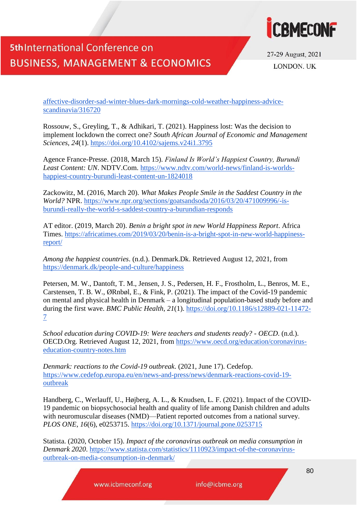

27-29 August, 2021 **LONDON UK** 

[affective-disorder-sad-winter-blues-dark-mornings-cold-weather-happiness-advice](https://www.stylist.co.uk/long-reads/seasonal-affective-disorder-sad-winter-blues-dark-mornings-cold-weather-happiness-advice-scandinavia/316720)[scandinavia/316720](https://www.stylist.co.uk/long-reads/seasonal-affective-disorder-sad-winter-blues-dark-mornings-cold-weather-happiness-advice-scandinavia/316720)

Rossouw, S., Greyling, T., & Adhikari, T. (2021). Happiness lost: Was the decision to implement lockdown the correct one? *South African Journal of Economic and Management Sciences*, *24*(1).<https://doi.org/10.4102/sajems.v24i1.3795>

Agence France-Presse. (2018, March 15). *Finland Is World's Happiest Country, Burundi Least Content: UN*. NDTV.Com. [https://www.ndtv.com/world-news/finland-is-worlds](https://www.ndtv.com/world-news/finland-is-worlds-happiest-country-burundi-least-content-un-1824018)[happiest-country-burundi-least-content-un-1824018](https://www.ndtv.com/world-news/finland-is-worlds-happiest-country-burundi-least-content-un-1824018)

Zackowitz, M. (2016, March 20). *What Makes People Smile in the Saddest Country in the World?* NPR. [https://www.npr.org/sections/goatsandsoda/2016/03/20/471009996/-is](https://www.npr.org/sections/goatsandsoda/2016/03/20/471009996/-is-burundi-really-the-world-s-saddest-country-a-burundian-responds)[burundi-really-the-world-s-saddest-country-a-burundian-responds](https://www.npr.org/sections/goatsandsoda/2016/03/20/471009996/-is-burundi-really-the-world-s-saddest-country-a-burundian-responds)

AT editor. (2019, March 20). *Benin a bright spot in new World Happiness Report*. Africa Times. [https://africatimes.com/2019/03/20/benin-is-a-bright-spot-in-new-world-happiness](https://africatimes.com/2019/03/20/benin-is-a-bright-spot-in-new-world-happiness-report/)[report/](https://africatimes.com/2019/03/20/benin-is-a-bright-spot-in-new-world-happiness-report/)

*Among the happiest countries*. (n.d.). Denmark.Dk. Retrieved August 12, 2021, from <https://denmark.dk/people-and-culture/happiness>

Petersen, M. W., Dantoft, T. M., Jensen, J. S., Pedersen, H. F., Frostholm, L., Benros, M. E., Carstensen, T. B. W., ØRnbøl, E., & Fink, P. (2021). The impact of the Covid-19 pandemic on mental and physical health in Denmark – a longitudinal population-based study before and during the first wave. *BMC Public Health*, *21*(1). [https://doi.org/10.1186/s12889-021-11472-](https://doi.org/10.1186/s12889-021-11472-7) [7](https://doi.org/10.1186/s12889-021-11472-7)

*School education during COVID-19: Were teachers and students ready? - OECD*. (n.d.). OECD.Org. Retrieved August 12, 2021, from [https://www.oecd.org/education/coronavirus](https://www.oecd.org/education/coronavirus-education-country-notes.htm)[education-country-notes.htm](https://www.oecd.org/education/coronavirus-education-country-notes.htm)

*Denmark: reactions to the Covid-19 outbreak*. (2021, June 17). Cedefop. [https://www.cedefop.europa.eu/en/news-and-press/news/denmark-reactions-covid-19](https://www.cedefop.europa.eu/en/news-and-press/news/denmark-reactions-covid-19-outbreak) [outbreak](https://www.cedefop.europa.eu/en/news-and-press/news/denmark-reactions-covid-19-outbreak)

Handberg, C., Werlauff, U., Højberg, A. L., & Knudsen, L. F. (2021). Impact of the COVID-19 pandemic on biopsychosocial health and quality of life among Danish children and adults with neuromuscular diseases (NMD)—Patient reported outcomes from a national survey. *PLOS ONE*, *16*(6), e0253715.<https://doi.org/10.1371/journal.pone.0253715>

Statista. (2020, October 15). *Impact of the coronavirus outbreak on media consumption in Denmark 2020*. [https://www.statista.com/statistics/1110923/impact-of-the-coronavirus](https://www.statista.com/statistics/1110923/impact-of-the-coronavirus-outbreak-on-media-consumption-in-denmark/)[outbreak-on-media-consumption-in-denmark/](https://www.statista.com/statistics/1110923/impact-of-the-coronavirus-outbreak-on-media-consumption-in-denmark/)

www.icbmeconf.org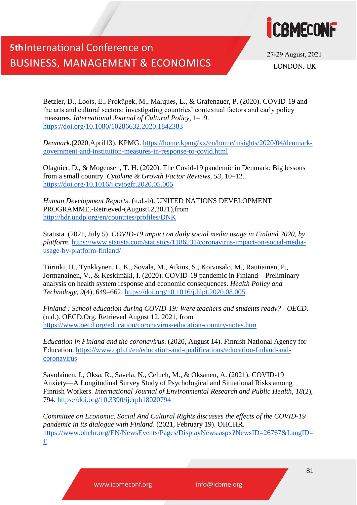



27-29 August, 2021 **LONDON UK** 

Betzler, D., Loots, E., Prokůpek, M., Marques, L., & Grafenauer, P. (2020). COVID-19 and the arts and cultural sectors: investigating countries' contextual factors and early policy measures. *International Journal of Cultural Policy*, 1–19. <https://doi.org/10.1080/10286632.2020.1842383>

*Denmark*.(2020,April13). KPMG. [https://home.kpmg/xx/en/home/insights/2020/04/denmark](https://home.kpmg/xx/en/home/insights/2020/04/denmark-government-and-institution-measures-in-response-to-covid.html)[government-and-institution-measures-in-response-to-covid.html](https://home.kpmg/xx/en/home/insights/2020/04/denmark-government-and-institution-measures-in-response-to-covid.html)

Olagnier, D., & Mogensen, T. H. (2020). The Covid-19 pandemic in Denmark: Big lessons from a small country. *Cytokine & Growth Factor Reviews*, *53*, 10–12. <https://doi.org/10.1016/j.cytogfr.2020.05.005>

*Human Development Reports*. (n.d.-b). UNITED NATIONS DEVELOPMENT PROGRAMME.-Retrieved-(August12,2021),from <http://hdr.undp.org/en/countries/profiles/DNK>

Statista. (2021, July 5). *COVID-19 impact on daily social media usage in Finland 2020, by platform*. [https://www.statista.com/statistics/1186531/coronavirus-impact-on-social-media](https://www.statista.com/statistics/1186531/coronavirus-impact-on-social-media-usage-by-platform-finland/)[usage-by-platform-finland/](https://www.statista.com/statistics/1186531/coronavirus-impact-on-social-media-usage-by-platform-finland/)

Tiirinki, H., Tynkkynen, L. K., Sovala, M., Atkins, S., Koivusalo, M., Rautiainen, P., Jormanainen, V., & Keskimäki, I. (2020). COVID-19 pandemic in Finland – Preliminary analysis on health system response and economic consequences. *Health Policy and Technology*, *9*(4), 649–662.<https://doi.org/10.1016/j.hlpt.2020.08.005>

*Finland : School education during COVID-19: Were teachers and students ready? - OECD*. (n.d.). OECD.Org. Retrieved August 12, 2021, from <https://www.oecd.org/education/coronavirus-education-country-notes.htm>

*Education in Finland and the coronavirus*. (2020, August 14). Finnish National Agency for Education. [https://www.oph.fi/en/education-and-qualifications/education-finland-and](https://www.oph.fi/en/education-and-qualifications/education-finland-and-coronavirus)[coronavirus](https://www.oph.fi/en/education-and-qualifications/education-finland-and-coronavirus)

Savolainen, I., Oksa, R., Savela, N., Celuch, M., & Oksanen, A. (2021). COVID-19 Anxiety—A Longitudinal Survey Study of Psychological and Situational Risks among Finnish Workers. *International Journal of Environmental Research and Public Health*, *18*(2), 794.<https://doi.org/10.3390/ijerph18020794>

*Committee on Economic, Social And Cultural Rights discusses the effects of the COVID-19 pandemic in its dialogue with Finland*. (2021, February 19). OHCHR. [https://www.ohchr.org/EN/NewsEvents/Pages/DisplayNews.aspx?NewsID=26767&LangID=](https://www.ohchr.org/EN/NewsEvents/Pages/DisplayNews.aspx?NewsID=26767&LangID=E)  $E$ 

www.icbmeconf.org

info@icbme.org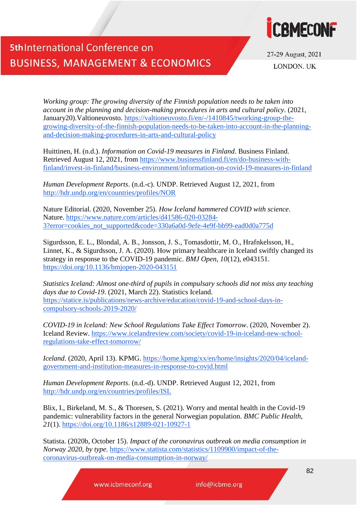

27-29 August, 2021 **LONDON UK** 

*Working group: The growing diversity of the Finnish population needs to be taken into account in the planning and decision-making procedures in arts and cultural policy*. (2021, January20).Valtioneuvosto. [https://valtioneuvosto.fi/en/-/1410845/tworking-group-the](https://valtioneuvosto.fi/en/-/1410845/tworking-group-the-growing-diversity-of-the-finnish-population-needs-to-be-taken-into-account-in-the-planning-and-decision-making-procedures-in-arts-and-cultural-policy)[growing-diversity-of-the-finnish-population-needs-to-be-taken-into-account-in-the-planning](https://valtioneuvosto.fi/en/-/1410845/tworking-group-the-growing-diversity-of-the-finnish-population-needs-to-be-taken-into-account-in-the-planning-and-decision-making-procedures-in-arts-and-cultural-policy)[and-decision-making-procedures-in-arts-and-cultural-policy](https://valtioneuvosto.fi/en/-/1410845/tworking-group-the-growing-diversity-of-the-finnish-population-needs-to-be-taken-into-account-in-the-planning-and-decision-making-procedures-in-arts-and-cultural-policy)

Huittinen, H. (n.d.). *Information on Covid-19 measures in Finland*. Business Finland. Retrieved August 12, 2021, from [https://www.businessfinland.fi/en/do-business-with](https://www.businessfinland.fi/en/do-business-with-finland/invest-in-finland/business-environment/information-on-covid-19-measures-in-finland)[finland/invest-in-finland/business-environment/information-on-covid-19-measures-in-finland](https://www.businessfinland.fi/en/do-business-with-finland/invest-in-finland/business-environment/information-on-covid-19-measures-in-finland)

*Human Development Reports*. (n.d.-c). UNDP. Retrieved August 12, 2021, from <http://hdr.undp.org/en/countries/profiles/NOR>

Nature Editorial. (2020, November 25). *How Iceland hammered COVID with science*. Nature. [https://www.nature.com/articles/d41586-020-03284-](https://www.nature.com/articles/d41586-020-03284-3?error=cookies_not_supported&code=330a6a0d-9efe-4e9f-bb99-ead0d0a775d) [3?error=cookies\\_not\\_supported&code=330a6a0d-9efe-4e9f-bb99-ead0d0a775d](https://www.nature.com/articles/d41586-020-03284-3?error=cookies_not_supported&code=330a6a0d-9efe-4e9f-bb99-ead0d0a775d)

Sigurdsson, E. L., Blondal, A. B., Jonsson, J. S., Tomasdottir, M. O., Hrafnkelsson, H., Linnet, K., & Sigurdsson, J. A. (2020). How primary healthcare in Iceland swiftly changed its strategy in response to the COVID-19 pandemic. *BMJ Open*, *10*(12), e043151. <https://doi.org/10.1136/bmjopen-2020-043151>

*Statistics Iceland: Almost one-third of pupils in compulsary schools did not miss any teaching days due to Covid-19*. (2021, March 22). Statistics Iceland. [https://statice.is/publications/news-archive/education/covid-19-and-school-days-in](https://statice.is/publications/news-archive/education/covid-19-and-school-days-in-compulsory-schools-2019-2020/)[compulsory-schools-2019-2020/](https://statice.is/publications/news-archive/education/covid-19-and-school-days-in-compulsory-schools-2019-2020/)

*COVID-19 in Iceland: New School Regulations Take Effect Tomorrow*. (2020, November 2). Iceland Review. [https://www.icelandreview.com/society/covid-19-in-iceland-new-school](https://www.icelandreview.com/society/covid-19-in-iceland-new-school-regulations-take-effect-tomorrow/)[regulations-take-effect-tomorrow/](https://www.icelandreview.com/society/covid-19-in-iceland-new-school-regulations-take-effect-tomorrow/)

*Iceland*. (2020, April 13). KPMG. [https://home.kpmg/xx/en/home/insights/2020/04/iceland](https://home.kpmg/xx/en/home/insights/2020/04/iceland-government-and-institution-measures-in-response-to-covid.html)[government-and-institution-measures-in-response-to-covid.html](https://home.kpmg/xx/en/home/insights/2020/04/iceland-government-and-institution-measures-in-response-to-covid.html)

*Human Development Reports*. (n.d.-d). UNDP. Retrieved August 12, 2021, from <http://hdr.undp.org/en/countries/profiles/ISL>

Blix, I., Birkeland, M. S., & Thoresen, S. (2021). Worry and mental health in the Covid-19 pandemic: vulnerability factors in the general Norwegian population. *BMC Public Health*, *21*(1).<https://doi.org/10.1186/s12889-021-10927-1>

Statista. (2020b, October 15). *Impact of the coronavirus outbreak on media consumption in Norway 2020, by type*. [https://www.statista.com/statistics/1109900/impact-of-the](https://www.statista.com/statistics/1109900/impact-of-the-coronavirus-outbreak-on-media-consumption-in-norway/)[coronavirus-outbreak-on-media-consumption-in-norway/](https://www.statista.com/statistics/1109900/impact-of-the-coronavirus-outbreak-on-media-consumption-in-norway/)

www.icbmeconf.org

info@icbme.org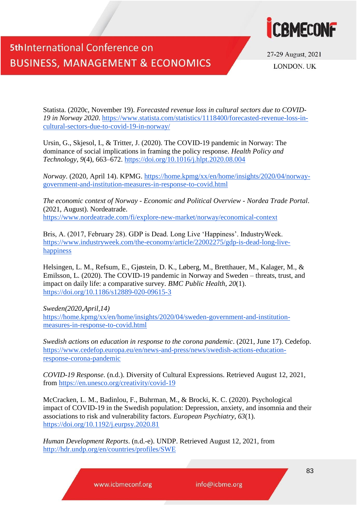



27-29 August, 2021 **LONDON UK** 

Statista. (2020c, November 19). *Forecasted revenue loss in cultural sectors due to COVID-19 in Norway 2020*. [https://www.statista.com/statistics/1118400/forecasted-revenue-loss-in](https://www.statista.com/statistics/1118400/forecasted-revenue-loss-in-cultural-sectors-due-to-covid-19-in-norway/)[cultural-sectors-due-to-covid-19-in-norway/](https://www.statista.com/statistics/1118400/forecasted-revenue-loss-in-cultural-sectors-due-to-covid-19-in-norway/)

Ursin, G., Skjesol, I., & Tritter, J. (2020). The COVID-19 pandemic in Norway: The dominance of social implications in framing the policy response. *Health Policy and Technology*, *9*(4), 663–672.<https://doi.org/10.1016/j.hlpt.2020.08.004>

*Norway*. (2020, April 14). KPMG. [https://home.kpmg/xx/en/home/insights/2020/04/norway](https://home.kpmg/xx/en/home/insights/2020/04/norway-government-and-institution-measures-in-response-to-covid.html)[government-and-institution-measures-in-response-to-covid.html](https://home.kpmg/xx/en/home/insights/2020/04/norway-government-and-institution-measures-in-response-to-covid.html)

*The economic context of Norway - Economic and Political Overview - Nordea Trade Portal*. (2021, August). Nordeatrade. <https://www.nordeatrade.com/fi/explore-new-market/norway/economical-context>

Bris, A. (2017, February 28). GDP is Dead. Long Live 'Happiness'. IndustryWeek. [https://www.industryweek.com/the-economy/article/22002275/gdp-is-dead-long-live](https://www.industryweek.com/the-economy/article/22002275/gdp-is-dead-long-live-happiness)[happiness](https://www.industryweek.com/the-economy/article/22002275/gdp-is-dead-long-live-happiness)

Helsingen, L. M., Refsum, E., Gjøstein, D. K., Løberg, M., Bretthauer, M., Kalager, M., & Emilsson, L. (2020). The COVID-19 pandemic in Norway and Sweden – threats, trust, and impact on daily life: a comparative survey. *BMC Public Health*, *20*(1). <https://doi.org/10.1186/s12889-020-09615-3>

*Sweden(2020,April,14)*  [https://home.kpmg/xx/en/home/insights/2020/04/sweden-government-and-institution](https://home.kpmg/xx/en/home/insights/2020/04/sweden-government-and-institution-measures-in-response-to-covid.html)[measures-in-response-to-covid.html](https://home.kpmg/xx/en/home/insights/2020/04/sweden-government-and-institution-measures-in-response-to-covid.html)

*Swedish actions on education in response to the corona pandemic*. (2021, June 17). Cedefop. [https://www.cedefop.europa.eu/en/news-and-press/news/swedish-actions-education](https://www.cedefop.europa.eu/en/news-and-press/news/swedish-actions-education-response-corona-pandemic)[response-corona-pandemic](https://www.cedefop.europa.eu/en/news-and-press/news/swedish-actions-education-response-corona-pandemic)

*COVID-19 Response*. (n.d.). Diversity of Cultural Expressions. Retrieved August 12, 2021, from<https://en.unesco.org/creativity/covid-19>

McCracken, L. M., Badinlou, F., Buhrman, M., & Brocki, K. C. (2020). Psychological impact of COVID-19 in the Swedish population: Depression, anxiety, and insomnia and their associations to risk and vulnerability factors. *European Psychiatry*, *63*(1). <https://doi.org/10.1192/j.eurpsy.2020.81>

*Human Development Reports*. (n.d.-e). UNDP. Retrieved August 12, 2021, from <http://hdr.undp.org/en/countries/profiles/SWE>

www.icbmeconf.org